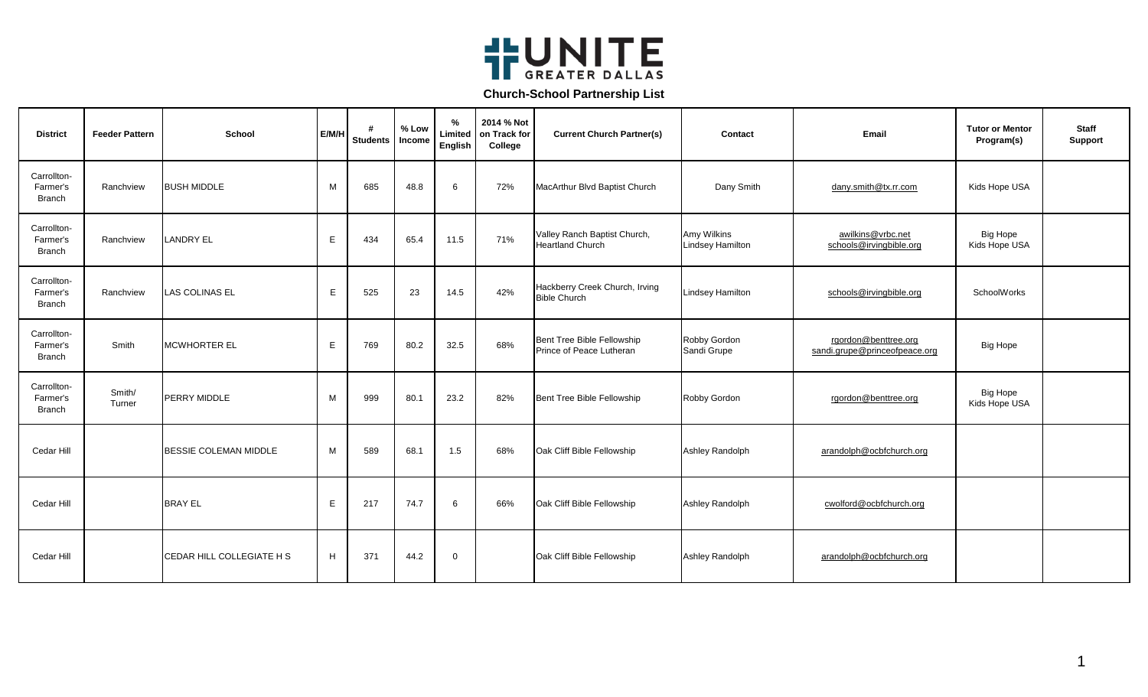

| <b>District</b>                          | <b>Feeder Pattern</b> | School                    | E/M/H | #<br><b>Students</b> | % Low<br>Income | $\%$<br>Limited<br>English | 2014 % Not<br>on Track for<br>College | <b>Current Church Partner(s)</b>                        | Contact                                | Email                                                 | <b>Tutor or Mentor</b><br>Program(s) | <b>Staff</b><br><b>Support</b> |
|------------------------------------------|-----------------------|---------------------------|-------|----------------------|-----------------|----------------------------|---------------------------------------|---------------------------------------------------------|----------------------------------------|-------------------------------------------------------|--------------------------------------|--------------------------------|
| Carrollton-<br>Farmer's<br><b>Branch</b> | Ranchview             | <b>BUSH MIDDLE</b>        | M     | 685                  | 48.8            | 6                          | 72%                                   | MacArthur Blvd Baptist Church                           | Dany Smith                             | dany.smith@tx.rr.com                                  | Kids Hope USA                        |                                |
| Carrollton-<br>Farmer's<br><b>Branch</b> | Ranchview             | <b>LANDRY EL</b>          | E     | 434                  | 65.4            | 11.5                       | 71%                                   | Valley Ranch Baptist Church,<br><b>Heartland Church</b> | Amy Wilkins<br><b>Lindsey Hamilton</b> | awilkins@vrbc.net<br>schools@irvingbible.org          | <b>Big Hope</b><br>Kids Hope USA     |                                |
| Carrollton-<br>Farmer's<br><b>Branch</b> | Ranchview             | <b>LAS COLINAS EL</b>     | E     | 525                  | 23              | 14.5                       | 42%                                   | Hackberry Creek Church, Irving<br><b>Bible Church</b>   | <b>Lindsey Hamilton</b>                | schools@irvingbible.org                               | SchoolWorks                          |                                |
| Carrollton-<br>Farmer's<br>Branch        | Smith                 | <b>MCWHORTER EL</b>       | E     | 769                  | 80.2            | 32.5                       | 68%                                   | Bent Tree Bible Fellowship<br>Prince of Peace Lutheran  | Robby Gordon<br>Sandi Grupe            | rgordon@benttree.org<br>sandi.grupe@princeofpeace.org | <b>Big Hope</b>                      |                                |
| Carrollton-<br>Farmer's<br><b>Branch</b> | Smith/<br>Turner      | PERRY MIDDLE              | м     | 999                  | 80.1            | 23.2                       | 82%                                   | Bent Tree Bible Fellowship                              | Robby Gordon                           | rgordon@benttree.org                                  | <b>Big Hope</b><br>Kids Hope USA     |                                |
| Cedar Hill                               |                       | BESSIE COLEMAN MIDDLE     | М     | 589                  | 68.1            | 1.5                        | 68%                                   | Oak Cliff Bible Fellowship                              | Ashley Randolph                        | arandolph@ocbfchurch.org                              |                                      |                                |
| Cedar Hill                               |                       | <b>BRAY EL</b>            | E     | 217                  | 74.7            | 6                          | 66%                                   | Oak Cliff Bible Fellowship                              | Ashley Randolph                        | cwolford@ocbfchurch.org                               |                                      |                                |
| Cedar Hill                               |                       | CEDAR HILL COLLEGIATE H S | H     | 371                  | 44.2            | $\mathbf 0$                |                                       | Oak Cliff Bible Fellowship                              | Ashley Randolph                        | arandolph@ocbfchurch.org                              |                                      |                                |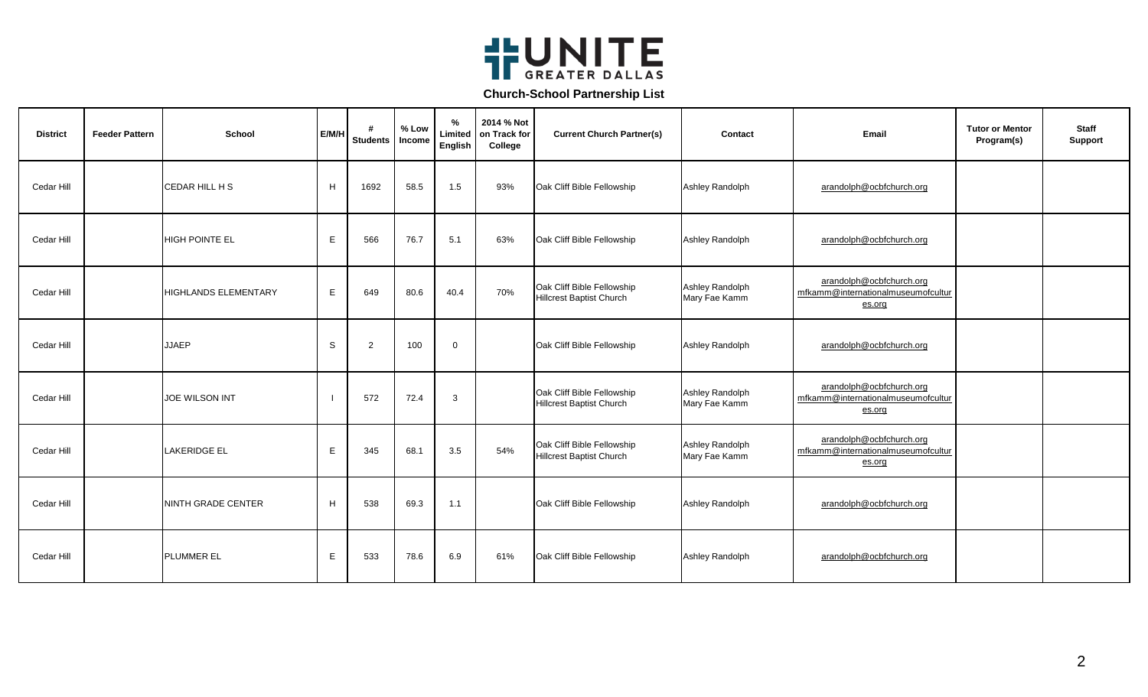

| <b>District</b> | <b>Feeder Pattern</b> | School                      | E/M/H | <b>Students</b> | % Low<br>Income | %<br>Limited<br>English | 2014 % Not<br>on Track for<br>College | <b>Current Church Partner(s)</b>                              | Contact                          | Email                                                                    | <b>Tutor or Mentor</b><br>Program(s) | <b>Staff</b><br><b>Support</b> |
|-----------------|-----------------------|-----------------------------|-------|-----------------|-----------------|-------------------------|---------------------------------------|---------------------------------------------------------------|----------------------------------|--------------------------------------------------------------------------|--------------------------------------|--------------------------------|
| Cedar Hill      |                       | CEDAR HILL H S              | H     | 1692            | 58.5            | 1.5                     | 93%                                   | Oak Cliff Bible Fellowship                                    | Ashley Randolph                  | arandolph@ocbfchurch.org                                                 |                                      |                                |
| Cedar Hill      |                       | <b>HIGH POINTE EL</b>       | E     | 566             | 76.7            | 5.1                     | 63%                                   | Oak Cliff Bible Fellowship                                    | Ashley Randolph                  | arandolph@ocbfchurch.org                                                 |                                      |                                |
| Cedar Hill      |                       | <b>HIGHLANDS ELEMENTARY</b> | E.    | 649             | 80.6            | 40.4                    | 70%                                   | Oak Cliff Bible Fellowship<br><b>Hillcrest Baptist Church</b> | Ashley Randolph<br>Mary Fae Kamm | arandolph@ocbfchurch.org<br>mfkamm@internationalmuseumofcultur<br>es.org |                                      |                                |
| Cedar Hill      |                       | <b>JJAEP</b>                | S     | 2               | 100             | $\mathbf 0$             |                                       | Oak Cliff Bible Fellowship                                    | Ashley Randolph                  | arandolph@ocbfchurch.org                                                 |                                      |                                |
| Cedar Hill      |                       | <b>JOE WILSON INT</b>       |       | 572             | 72.4            | 3                       |                                       | Oak Cliff Bible Fellowship<br><b>Hillcrest Baptist Church</b> | Ashley Randolph<br>Mary Fae Kamm | arandolph@ocbfchurch.org<br>mfkamm@internationalmuseumofcultur<br>es.org |                                      |                                |
| Cedar Hill      |                       | <b>LAKERIDGE EL</b>         | E.    | 345             | 68.1            | 3.5                     | 54%                                   | Oak Cliff Bible Fellowship<br><b>Hillcrest Baptist Church</b> | Ashley Randolph<br>Mary Fae Kamm | arandolph@ocbfchurch.org<br>mfkamm@internationalmuseumofcultur<br>es.org |                                      |                                |
| Cedar Hill      |                       | NINTH GRADE CENTER          | H     | 538             | 69.3            | 1.1                     |                                       | Oak Cliff Bible Fellowship                                    | Ashley Randolph                  | arandolph@ocbfchurch.org                                                 |                                      |                                |
| Cedar Hill      |                       | <b>PLUMMER EL</b>           | Е     | 533             | 78.6            | 6.9                     | 61%                                   | Oak Cliff Bible Fellowship                                    | Ashley Randolph                  | arandolph@ocbfchurch.org                                                 |                                      |                                |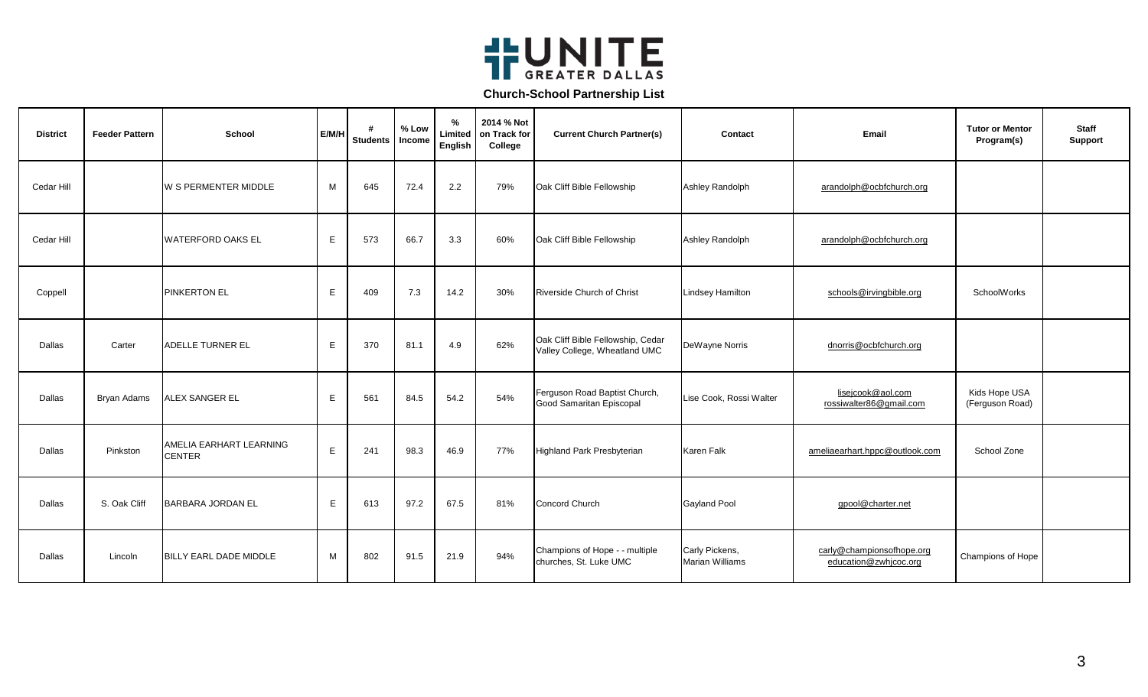

| <b>District</b> | <b>Feeder Pattern</b> | <b>School</b>                            | E/M/H | #<br><b>Students</b> | % Low<br>Income | %<br>Limited<br>English | 2014 % Not<br>on Track for<br>College | <b>Current Church Partner(s)</b>                                   | Contact                                  | Email                                              | <b>Tutor or Mentor</b><br>Program(s) | <b>Staff</b><br><b>Support</b> |
|-----------------|-----------------------|------------------------------------------|-------|----------------------|-----------------|-------------------------|---------------------------------------|--------------------------------------------------------------------|------------------------------------------|----------------------------------------------------|--------------------------------------|--------------------------------|
| Cedar Hill      |                       | <b>W S PERMENTER MIDDLE</b>              | M     | 645                  | 72.4            | $2.2\,$                 | 79%                                   | Oak Cliff Bible Fellowship                                         | Ashley Randolph                          | arandolph@ocbfchurch.org                           |                                      |                                |
| Cedar Hill      |                       | <b>WATERFORD OAKS EL</b>                 | E     | 573                  | 66.7            | 3.3                     | 60%                                   | Oak Cliff Bible Fellowship                                         | Ashley Randolph                          | arandolph@ocbfchurch.org                           |                                      |                                |
| Coppell         |                       | <b>PINKERTON EL</b>                      | E     | 409                  | 7.3             | 14.2                    | 30%                                   | Riverside Church of Christ                                         | <b>Lindsey Hamilton</b>                  | schools@irvingbible.org                            | SchoolWorks                          |                                |
| Dallas          | Carter                | <b>ADELLE TURNER EL</b>                  | E     | 370                  | 81.1            | 4.9                     | 62%                                   | Oak Cliff Bible Fellowship, Cedar<br>Valley College, Wheatland UMC | DeWayne Norris                           | dnorris@ocbfchurch.org                             |                                      |                                |
| Dallas          | Bryan Adams           | <b>ALEX SANGER EL</b>                    | E     | 561                  | 84.5            | 54.2                    | 54%                                   | Ferguson Road Baptist Church,<br>Good Samaritan Episcopal          | Lise Cook, Rossi Walter                  | lisejcook@aol.com<br>rossiwalter86@gmail.com       | Kids Hope USA<br>(Ferguson Road)     |                                |
| Dallas          | Pinkston              | AMELIA EARHART LEARNING<br><b>CENTER</b> | E     | 241                  | 98.3            | 46.9                    | 77%                                   | Highland Park Presbyterian                                         | <b>Karen Falk</b>                        | ameliaearhart.hppc@outlook.com                     | School Zone                          |                                |
| Dallas          | S. Oak Cliff          | <b>BARBARA JORDAN EL</b>                 | E     | 613                  | 97.2            | 67.5                    | 81%                                   | Concord Church                                                     | <b>Gayland Pool</b>                      | gpool@charter.net                                  |                                      |                                |
| Dallas          | Lincoln               | BILLY EARL DADE MIDDLE                   | M     | 802                  | 91.5            | 21.9                    | 94%                                   | Champions of Hope - - multiple<br>churches, St. Luke UMC           | Carly Pickens,<br><b>Marian Williams</b> | carly@championsofhope.org<br>education@zwhjcoc.org | Champions of Hope                    |                                |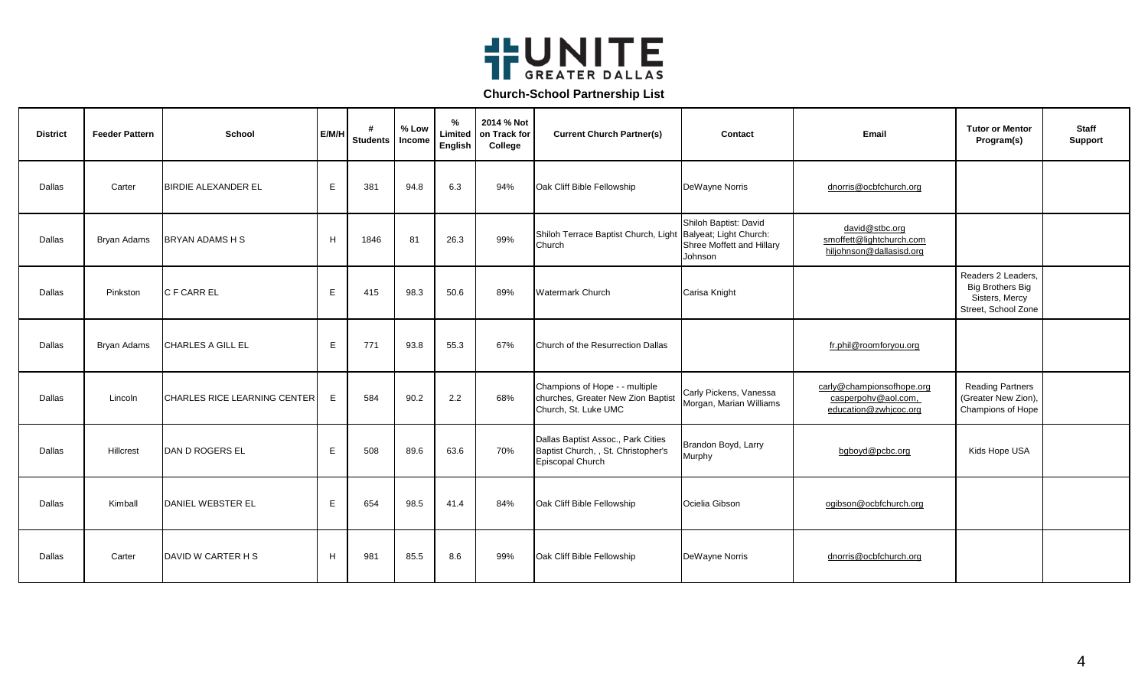

| <b>District</b> | <b>Feeder Pattern</b> | <b>School</b>                | E/M/H | #<br><b>Students</b> | % Low<br>Income | %<br>Limited<br>English | 2014 % Not<br>on Track for<br>College | <b>Current Church Partner(s)</b>                                                              | Contact                                                                                 | Email                                                                     | <b>Tutor or Mentor</b><br>Program(s)                                                   | <b>Staff</b><br><b>Support</b> |
|-----------------|-----------------------|------------------------------|-------|----------------------|-----------------|-------------------------|---------------------------------------|-----------------------------------------------------------------------------------------------|-----------------------------------------------------------------------------------------|---------------------------------------------------------------------------|----------------------------------------------------------------------------------------|--------------------------------|
| Dallas          | Carter                | <b>BIRDIE ALEXANDER EL</b>   | E     | 381                  | 94.8            | 6.3                     | 94%                                   | Oak Cliff Bible Fellowship                                                                    | DeWayne Norris                                                                          | dnorris@ocbfchurch.org                                                    |                                                                                        |                                |
| Dallas          | Bryan Adams           | <b>BRYAN ADAMS H S</b>       | H     | 1846                 | 81              | 26.3                    | 99%                                   | Shiloh Terrace Baptist Church, Light<br>Church                                                | Shiloh Baptist: David<br>Balyeat; Light Church:<br>Shree Moffett and Hillary<br>Johnson | david@stbc.org<br>smoffett@lightchurch.com<br>hiljohnson@dallasisd.org    |                                                                                        |                                |
| Dallas          | Pinkston              | C F CARR EL                  | E     | 415                  | 98.3            | 50.6                    | 89%                                   | <b>Watermark Church</b>                                                                       | Carisa Knight                                                                           |                                                                           | Readers 2 Leaders,<br><b>Big Brothers Big</b><br>Sisters, Mercy<br>Street, School Zone |                                |
| Dallas          | Bryan Adams           | CHARLES A GILL EL            | E     | 771                  | 93.8            | 55.3                    | 67%                                   | Church of the Resurrection Dallas                                                             |                                                                                         | fr.phil@roomforyou.org                                                    |                                                                                        |                                |
| Dallas          | Lincoln               | CHARLES RICE LEARNING CENTER | E     | 584                  | 90.2            | 2.2                     | 68%                                   | Champions of Hope - - multiple<br>churches, Greater New Zion Baptist<br>Church, St. Luke UMC  | Carly Pickens, Vanessa<br>Morgan, Marian Williams                                       | carly@championsofhope.org<br>casperpohy@aol.com,<br>education@zwhjcoc.org | <b>Reading Partners</b><br>(Greater New Zion),<br>Champions of Hope                    |                                |
| Dallas          | Hillcrest             | DAN D ROGERS EL              | E     | 508                  | 89.6            | 63.6                    | 70%                                   | Dallas Baptist Assoc., Park Cities<br>Baptist Church, , St. Christopher's<br>Episcopal Church | Brandon Boyd, Larry<br>Murphy                                                           | bgboyd@pcbc.org                                                           | Kids Hope USA                                                                          |                                |
| Dallas          | Kimball               | DANIEL WEBSTER EL            | E     | 654                  | 98.5            | 41.4                    | 84%                                   | Oak Cliff Bible Fellowship                                                                    | Ocielia Gibson                                                                          | ogibson@ocbfchurch.org                                                    |                                                                                        |                                |
| Dallas          | Carter                | DAVID W CARTER H S           | H     | 981                  | 85.5            | 8.6                     | 99%                                   | Oak Cliff Bible Fellowship                                                                    | DeWayne Norris                                                                          | dnorris@ocbfchurch.org                                                    |                                                                                        |                                |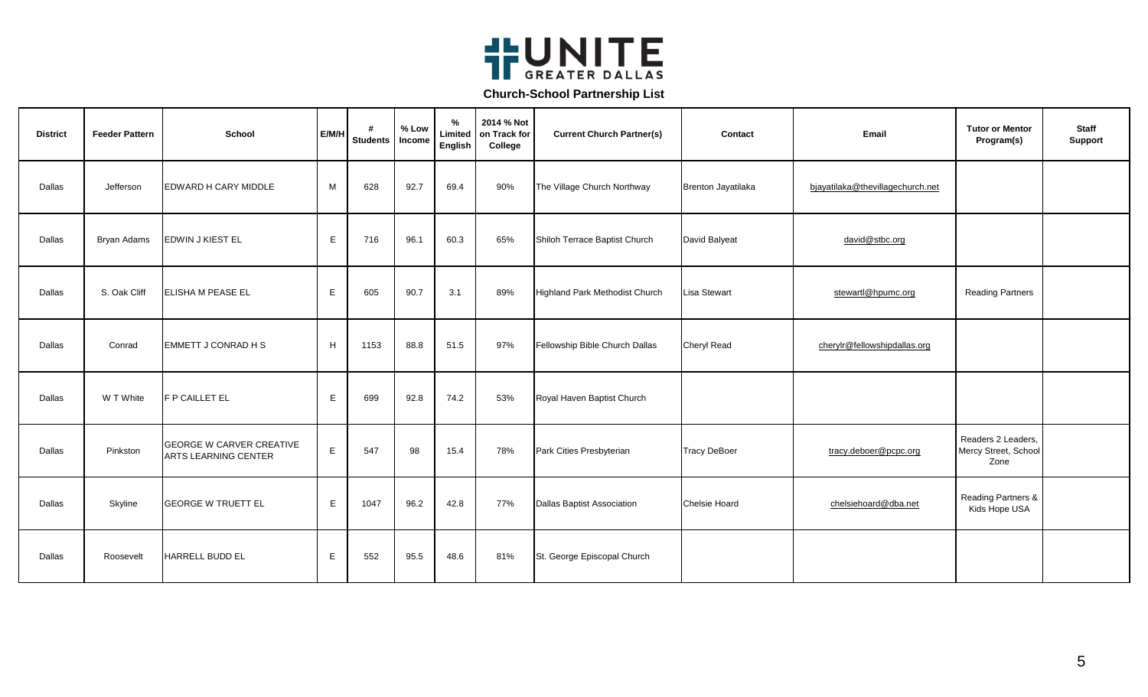

| <b>District</b> | <b>Feeder Pattern</b> | <b>School</b>                                           | E/M/H        | #<br>Students   Income | % Low | %<br>Limited<br>English | 2014 % Not<br>on Track for<br>College | <b>Current Church Partner(s)</b>      | Contact                   | Email                            | <b>Tutor or Mentor</b><br>Program(s)               | <b>Staff</b><br><b>Support</b> |
|-----------------|-----------------------|---------------------------------------------------------|--------------|------------------------|-------|-------------------------|---------------------------------------|---------------------------------------|---------------------------|----------------------------------|----------------------------------------------------|--------------------------------|
| Dallas          | Jefferson             | <b>EDWARD H CARY MIDDLE</b>                             | M            | 628                    | 92.7  | 69.4                    | 90%                                   | The Village Church Northway           | <b>Brenton Jayatilaka</b> | bjayatilaka@thevillagechurch.net |                                                    |                                |
| Dallas          | Bryan Adams           | EDWIN J KIEST EL                                        | $\mathsf E$  | 716                    | 96.1  | 60.3                    | 65%                                   | Shiloh Terrace Baptist Church         | David Balyeat             | david@stbc.org                   |                                                    |                                |
| Dallas          | S. Oak Cliff          | <b>ELISHA M PEASE EL</b>                                | E            | 605                    | 90.7  | 3.1                     | 89%                                   | <b>Highland Park Methodist Church</b> | <b>Lisa Stewart</b>       | stewartl@hpumc.org               | <b>Reading Partners</b>                            |                                |
| Dallas          | Conrad                | <b>EMMETT J CONRAD H S</b>                              | H            | 1153                   | 88.8  | 51.5                    | 97%                                   | Fellowship Bible Church Dallas        | <b>Cheryl Read</b>        | cherylr@fellowshipdallas.org     |                                                    |                                |
| Dallas          | W T White             | <b>F P CAILLET EL</b>                                   | E.           | 699                    | 92.8  | 74.2                    | 53%                                   | Royal Haven Baptist Church            |                           |                                  |                                                    |                                |
| Dallas          | Pinkston              | <b>GEORGE W CARVER CREATIVE</b><br>ARTS LEARNING CENTER | E            | 547                    | 98    | 15.4                    | 78%                                   | Park Cities Presbyterian              | <b>Tracy DeBoer</b>       | tracy.deboer@pcpc.org            | Readers 2 Leaders,<br>Mercy Street, School<br>Zone |                                |
| Dallas          | Skyline               | <b>GEORGE W TRUETT EL</b>                               | $\mathsf{E}$ | 1047                   | 96.2  | 42.8                    | 77%                                   | <b>Dallas Baptist Association</b>     | <b>Chelsie Hoard</b>      | chelsiehoard@dba.net             | Reading Partners &<br>Kids Hope USA                |                                |
| Dallas          | Roosevelt             | <b>HARRELL BUDD EL</b>                                  | Е            | 552                    | 95.5  | 48.6                    | 81%                                   | St. George Episcopal Church           |                           |                                  |                                                    |                                |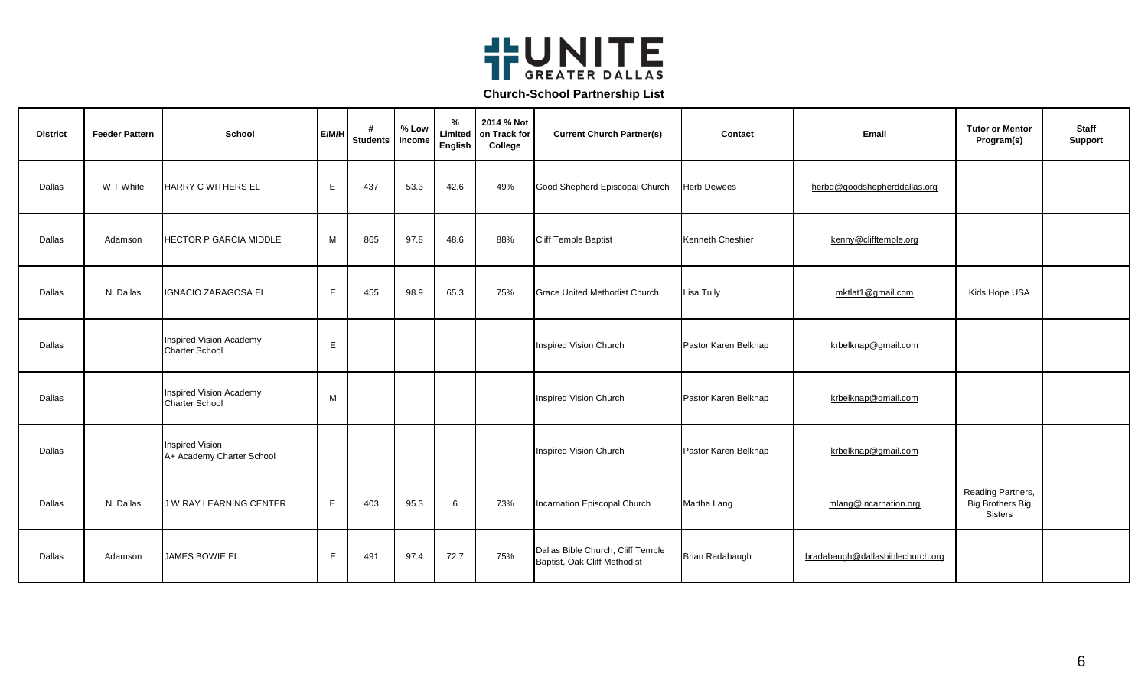

| <b>District</b> | <b>Feeder Pattern</b> | <b>School</b>                                    | E/M/H | #<br><b>Students</b> | % Low<br>Income | %<br>Limited<br>English | 2014 % Not<br>on Track for<br>College | <b>Current Church Partner(s)</b>                                  | Contact              | Email                            | <b>Tutor or Mentor</b><br>Program(s)                    | <b>Staff</b><br>Support |
|-----------------|-----------------------|--------------------------------------------------|-------|----------------------|-----------------|-------------------------|---------------------------------------|-------------------------------------------------------------------|----------------------|----------------------------------|---------------------------------------------------------|-------------------------|
| Dallas          | W T White             | <b>HARRY C WITHERS EL</b>                        | E     | 437                  | 53.3            | 42.6                    | 49%                                   | Good Shepherd Episcopal Church                                    | <b>Herb Dewees</b>   | herbd@goodshepherddallas.org     |                                                         |                         |
| Dallas          | Adamson               | <b>HECTOR P GARCIA MIDDLE</b>                    | M     | 865                  | 97.8            | 48.6                    | 88%                                   | <b>Cliff Temple Baptist</b>                                       | Kenneth Cheshier     | kenny@clifftemple.org            |                                                         |                         |
| Dallas          | N. Dallas             | <b>IGNACIO ZARAGOSA EL</b>                       | E.    | 455                  | 98.9            | 65.3                    | 75%                                   | <b>Grace United Methodist Church</b>                              | Lisa Tully           | mktlat1@gmail.com                | Kids Hope USA                                           |                         |
| Dallas          |                       | Inspired Vision Academy<br>Charter School        | Е     |                      |                 |                         |                                       | Inspired Vision Church                                            | Pastor Karen Belknap | krbelknap@gmail.com              |                                                         |                         |
| Dallas          |                       | Inspired Vision Academy<br><b>Charter School</b> | M     |                      |                 |                         |                                       | Inspired Vision Church                                            | Pastor Karen Belknap | krbelknap@gmail.com              |                                                         |                         |
| Dallas          |                       | Inspired Vision<br>A+ Academy Charter School     |       |                      |                 |                         |                                       | <b>Inspired Vision Church</b>                                     | Pastor Karen Belknap | krbelknap@gmail.com              |                                                         |                         |
| Dallas          | N. Dallas             | <b>JW RAY LEARNING CENTER</b>                    | E     | 403                  | 95.3            | 6                       | 73%                                   | Incarnation Episcopal Church                                      | Martha Lang          | mlang@incarnation.org            | Reading Partners,<br><b>Big Brothers Big</b><br>Sisters |                         |
| Dallas          | Adamson               | JAMES BOWIE EL                                   | E     | 491                  | 97.4            | 72.7                    | 75%                                   | Dallas Bible Church, Cliff Temple<br>Baptist, Oak Cliff Methodist | Brian Radabaugh      | bradabaugh@dallasbiblechurch.org |                                                         |                         |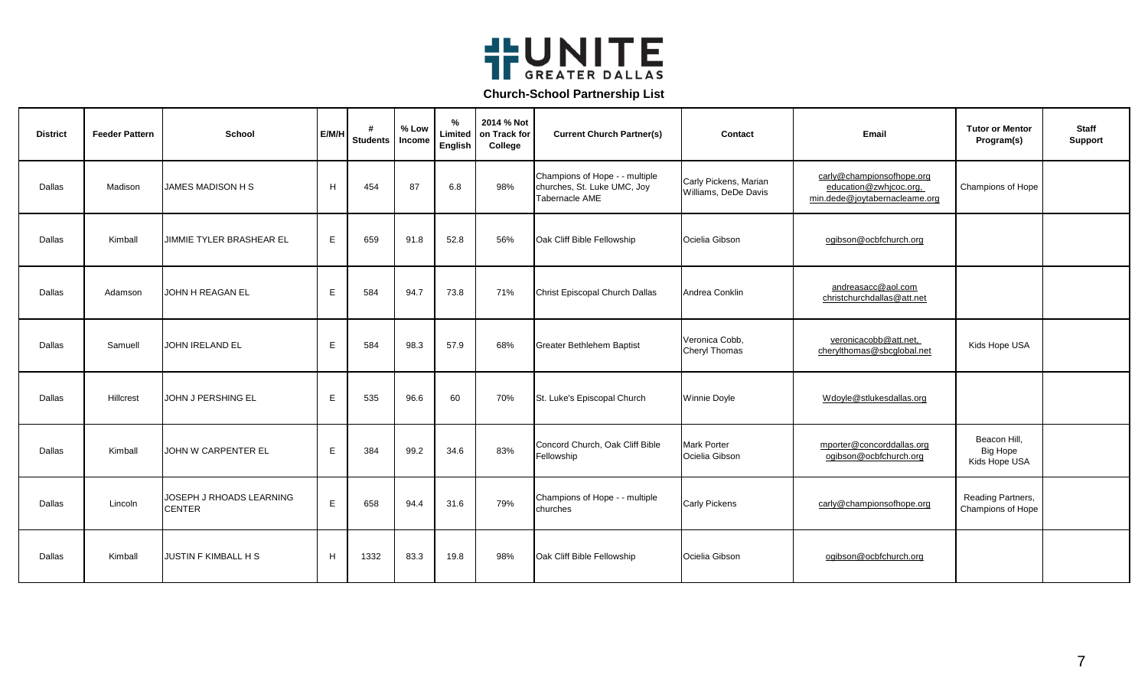

| <b>District</b> | <b>Feeder Pattern</b> | School                                    | E/M/H | #<br><b>Students</b> | % Low<br>Income | $\frac{9}{6}$<br>Limited<br>English | 2014 % Not<br>on Track for<br>College | <b>Current Church Partner(s)</b>                                                | Contact                                       | Email                                                                                | <b>Tutor or Mentor</b><br>Program(s)             | <b>Staff</b><br><b>Support</b> |
|-----------------|-----------------------|-------------------------------------------|-------|----------------------|-----------------|-------------------------------------|---------------------------------------|---------------------------------------------------------------------------------|-----------------------------------------------|--------------------------------------------------------------------------------------|--------------------------------------------------|--------------------------------|
| Dallas          | Madison               | JAMES MADISON H S                         | H     | 454                  | 87              | 6.8                                 | 98%                                   | Champions of Hope - - multiple<br>churches, St. Luke UMC, Joy<br>Tabernacle AME | Carly Pickens, Marian<br>Williams, DeDe Davis | carly@championsofhope.org<br>education@zwhjcoc.org,<br>min.dede@joytabernacleame.org | Champions of Hope                                |                                |
| Dallas          | Kimball               | JIMMIE TYLER BRASHEAR EL                  | E     | 659                  | 91.8            | 52.8                                | 56%                                   | Oak Cliff Bible Fellowship                                                      | Ocielia Gibson                                | ogibson@ocbfchurch.org                                                               |                                                  |                                |
| Dallas          | Adamson               | JOHN H REAGAN EL                          | E.    | 584                  | 94.7            | 73.8                                | 71%                                   | Christ Episcopal Church Dallas                                                  | Andrea Conklin                                | andreasacc@aol.com<br>christchurchdallas@att.net                                     |                                                  |                                |
| Dallas          | Samuell               | <b>JOHN IRELAND EL</b>                    | E.    | 584                  | 98.3            | 57.9                                | 68%                                   | <b>Greater Bethlehem Baptist</b>                                                | Veronica Cobb.<br><b>Cheryl Thomas</b>        | veronicacobb@att.net,<br>cherylthomas@sbcglobal.net                                  | Kids Hope USA                                    |                                |
| Dallas          | Hillcrest             | JOHN J PERSHING EL                        | E     | 535                  | 96.6            | 60                                  | 70%                                   | St. Luke's Episcopal Church                                                     | <b>Winnie Doyle</b>                           | Wdoyle@stlukesdallas.org                                                             |                                                  |                                |
| Dallas          | Kimball               | JOHN W CARPENTER EL                       | E.    | 384                  | 99.2            | 34.6                                | 83%                                   | Concord Church, Oak Cliff Bible<br>Fellowship                                   | <b>Mark Porter</b><br>Ocielia Gibson          | mporter@concorddallas.org<br>ogibson@ocbfchurch.org                                  | Beacon Hill.<br><b>Big Hope</b><br>Kids Hope USA |                                |
| Dallas          | Lincoln               | JOSEPH J RHOADS LEARNING<br><b>CENTER</b> | E.    | 658                  | 94.4            | 31.6                                | 79%                                   | Champions of Hope - - multiple<br>churches                                      | <b>Carly Pickens</b>                          | carly@championsofhope.org                                                            | Reading Partners,<br>Champions of Hope           |                                |
| Dallas          | Kimball               | <b>JUSTIN F KIMBALL H S</b>               | H     | 1332                 | 83.3            | 19.8                                | 98%                                   | Oak Cliff Bible Fellowship                                                      | Ocielia Gibson                                | ogibson@ocbfchurch.org                                                               |                                                  |                                |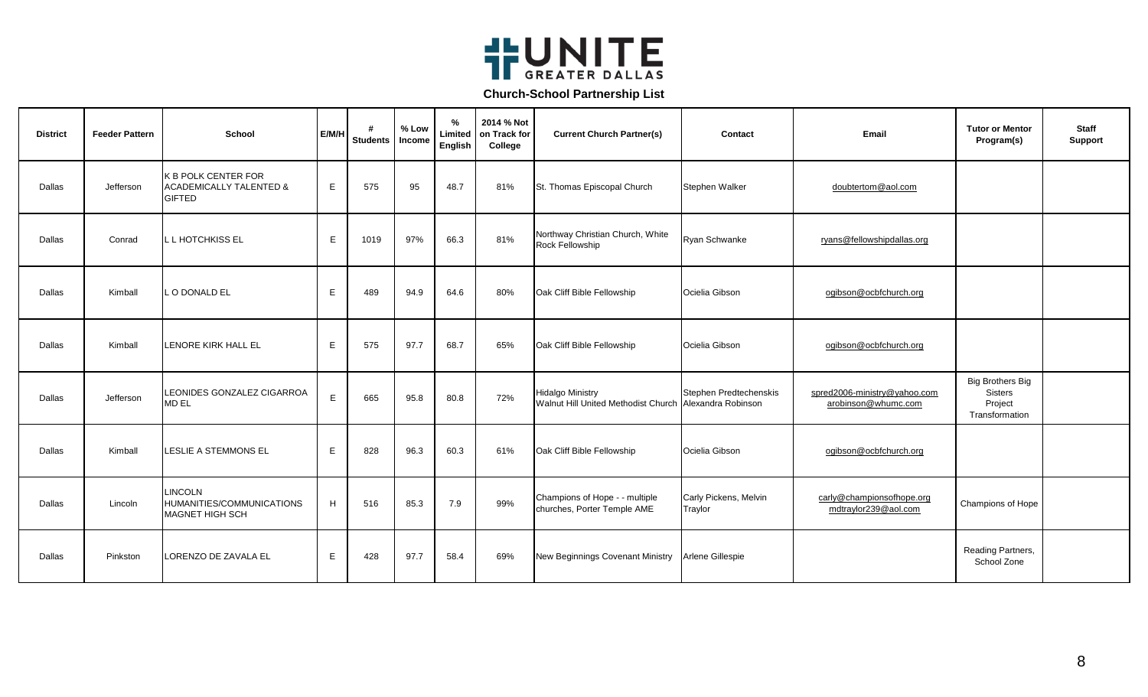

| <b>District</b> | <b>Feeder Pattern</b> | School                                                                            | E/M/H | #<br><b>Students</b> | % Low<br>Income | $\%$<br>Limited<br>English | 2014 % Not<br>on Track for<br>College | <b>Current Church Partner(s)</b>                                                  | Contact                          | Email                                               | <b>Tutor or Mentor</b><br>Program(s)                            | <b>Staff</b><br><b>Support</b> |
|-----------------|-----------------------|-----------------------------------------------------------------------------------|-------|----------------------|-----------------|----------------------------|---------------------------------------|-----------------------------------------------------------------------------------|----------------------------------|-----------------------------------------------------|-----------------------------------------------------------------|--------------------------------|
| Dallas          | Jefferson             | <b>K B POLK CENTER FOR</b><br><b>ACADEMICALLY TALENTED &amp;</b><br><b>GIFTED</b> | E     | 575                  | 95              | 48.7                       | 81%                                   | St. Thomas Episcopal Church                                                       | Stephen Walker                   | doubtertom@aol.com                                  |                                                                 |                                |
| Dallas          | Conrad                | L L HOTCHKISS EL                                                                  | E.    | 1019                 | 97%             | 66.3                       | 81%                                   | Northway Christian Church, White<br>Rock Fellowship                               | Ryan Schwanke                    | ryans@fellowshipdallas.org                          |                                                                 |                                |
| Dallas          | Kimball               | O DONALD EL                                                                       | Е     | 489                  | 94.9            | 64.6                       | 80%                                   | Oak Cliff Bible Fellowship                                                        | Ocielia Gibson                   | ogibson@ocbfchurch.org                              |                                                                 |                                |
| Dallas          | Kimball               | LENORE KIRK HALL EL                                                               | E.    | 575                  | 97.7            | 68.7                       | 65%                                   | Oak Cliff Bible Fellowship                                                        | Ocielia Gibson                   | ogibson@ocbfchurch.org                              |                                                                 |                                |
| Dallas          | Jefferson             | LEONIDES GONZALEZ CIGARROA<br><b>MD EL</b>                                        | E.    | 665                  | 95.8            | 80.8                       | 72%                                   | <b>Hidalgo Ministry</b><br>Walnut Hill United Methodist Church Alexandra Robinson | Stephen Predtechenskis           | spred2006-ministry@yahoo.com<br>arobinson@whumc.com | <b>Big Brothers Big</b><br>Sisters<br>Project<br>Transformation |                                |
| Dallas          | Kimball               | <b>LESLIE A STEMMONS EL</b>                                                       | E     | 828                  | 96.3            | 60.3                       | 61%                                   | Oak Cliff Bible Fellowship                                                        | Ocielia Gibson                   | ogibson@ocbfchurch.org                              |                                                                 |                                |
| Dallas          | Lincoln               | <b>LINCOLN</b><br>HUMANITIES/COMMUNICATIONS<br><b>MAGNET HIGH SCH</b>             | H     | 516                  | 85.3            | 7.9                        | 99%                                   | Champions of Hope - - multiple<br>churches, Porter Temple AME                     | Carly Pickens, Melvin<br>Traylor | carly@championsofhope.org<br>mdtraylor239@aol.com   | Champions of Hope                                               |                                |
| Dallas          | Pinkston              | LORENZO DE ZAVALA EL                                                              | E     | 428                  | 97.7            | 58.4                       | 69%                                   | New Beginnings Covenant Ministry                                                  | Arlene Gillespie                 |                                                     | Reading Partners,<br>School Zone                                |                                |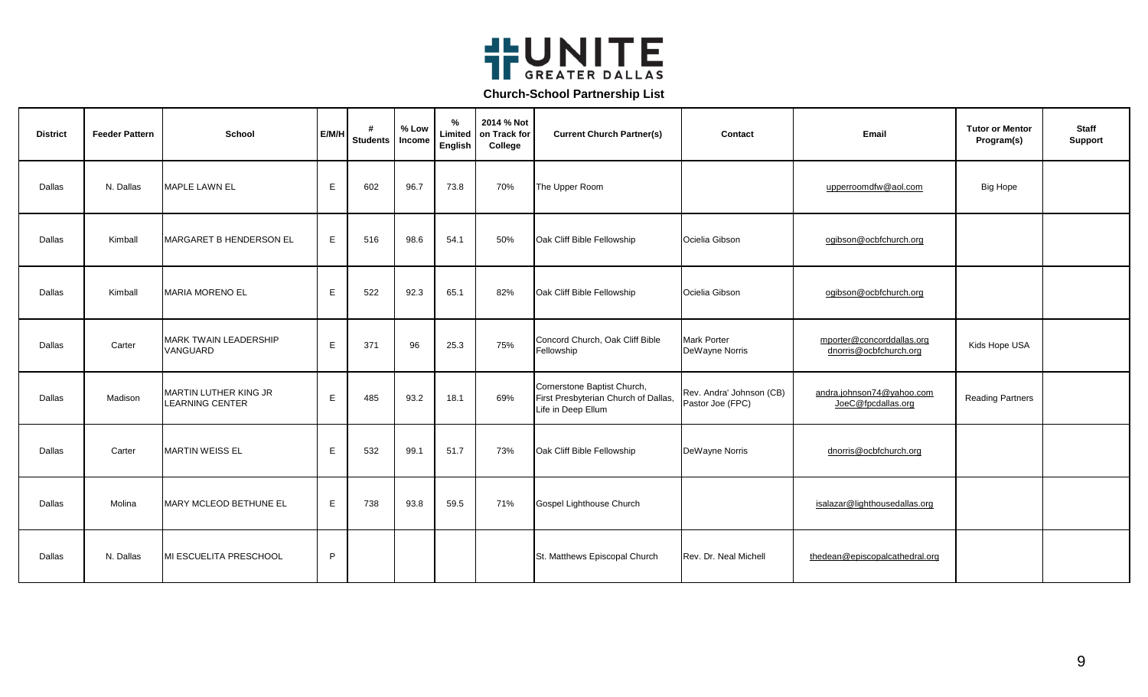

| <b>District</b> | <b>Feeder Pattern</b> | School                                          | E/M/H | #<br><b>Students</b> | % Low<br>Income | $\%$<br>Limited<br>English | 2014 % Not<br>on Track for<br>College | <b>Current Church Partner(s)</b>                                                          | Contact                                      | Email                                               | <b>Tutor or Mentor</b><br>Program(s) | <b>Staff</b><br><b>Support</b> |
|-----------------|-----------------------|-------------------------------------------------|-------|----------------------|-----------------|----------------------------|---------------------------------------|-------------------------------------------------------------------------------------------|----------------------------------------------|-----------------------------------------------------|--------------------------------------|--------------------------------|
| Dallas          | N. Dallas             | MAPLE LAWN EL                                   | E     | 602                  | 96.7            | 73.8                       | 70%                                   | The Upper Room                                                                            |                                              | upperroomdfw@aol.com                                | <b>Big Hope</b>                      |                                |
| Dallas          | Kimball               | <b>MARGARET B HENDERSON EL</b>                  | E     | 516                  | 98.6            | 54.1                       | 50%                                   | Oak Cliff Bible Fellowship                                                                | Ocielia Gibson                               | ogibson@ocbfchurch.org                              |                                      |                                |
| Dallas          | Kimball               | <b>MARIA MORENO EL</b>                          | E     | 522                  | 92.3            | 65.1                       | 82%                                   | Oak Cliff Bible Fellowship                                                                | Ocielia Gibson                               | ogibson@ocbfchurch.org                              |                                      |                                |
| Dallas          | Carter                | <b>MARK TWAIN LEADERSHIP</b><br>VANGUARD        | E     | 371                  | 96              | 25.3                       | 75%                                   | Concord Church, Oak Cliff Bible<br>Fellowship                                             | <b>Mark Porter</b><br>DeWayne Norris         | mporter@concorddallas.org<br>dnorris@ocbfchurch.org | Kids Hope USA                        |                                |
| Dallas          | Madison               | MARTIN LUTHER KING JR<br><b>LEARNING CENTER</b> | Е     | 485                  | 93.2            | 18.1                       | 69%                                   | Cornerstone Baptist Church,<br>First Presbyterian Church of Dallas,<br>Life in Deep Ellum | Rev. Andra' Johnson (CB)<br>Pastor Joe (FPC) | andra.johnson74@yahoo.com<br>JoeC@fpcdallas.org     | <b>Reading Partners</b>              |                                |
| Dallas          | Carter                | <b>MARTIN WEISS EL</b>                          | E     | 532                  | 99.1            | 51.7                       | 73%                                   | Oak Cliff Bible Fellowship                                                                | DeWayne Norris                               | dnorris@ocbfchurch.org                              |                                      |                                |
| Dallas          | Molina                | <b>MARY MCLEOD BETHUNE EL</b>                   | Е     | 738                  | 93.8            | 59.5                       | 71%                                   | Gospel Lighthouse Church                                                                  |                                              | isalazar@lighthousedallas.org                       |                                      |                                |
| Dallas          | N. Dallas             | MI ESCUELITA PRESCHOOL                          | P     |                      |                 |                            |                                       | St. Matthews Episcopal Church                                                             | Rev. Dr. Neal Michell                        | thedean@episcopalcathedral.org                      |                                      |                                |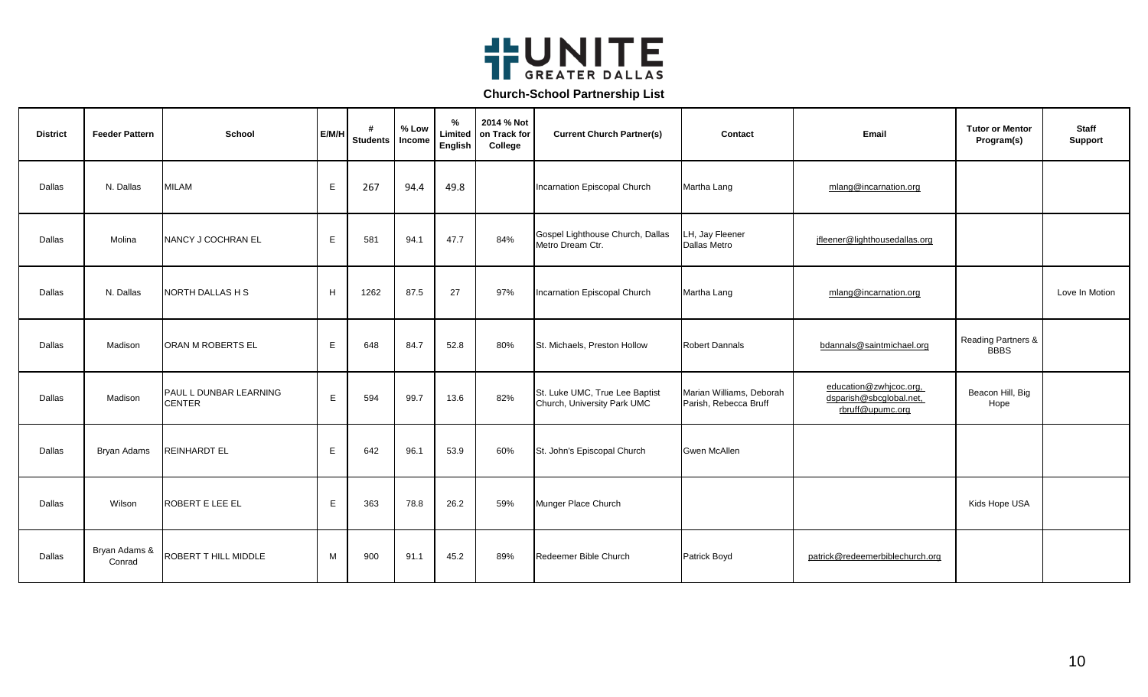

| <b>District</b> | <b>Feeder Pattern</b>   | <b>School</b>                           | E/M/H       | #<br><b>Students</b> | % Low<br>Income | $\%$<br>Limited<br>English | 2014 % Not<br>on Track for<br>College | <b>Current Church Partner(s)</b>                              | Contact                                           | Email                                                                 | <b>Tutor or Mentor</b><br>Program(s)         | <b>Staff</b><br><b>Support</b> |
|-----------------|-------------------------|-----------------------------------------|-------------|----------------------|-----------------|----------------------------|---------------------------------------|---------------------------------------------------------------|---------------------------------------------------|-----------------------------------------------------------------------|----------------------------------------------|--------------------------------|
| Dallas          | N. Dallas               | <b>MILAM</b>                            | E           | 267                  | 94.4            | 49.8                       |                                       | Incarnation Episcopal Church                                  | Martha Lang                                       | mlang@incarnation.org                                                 |                                              |                                |
| Dallas          | Molina                  | NANCY J COCHRAN EL                      | E           | 581                  | 94.1            | 47.7                       | 84%                                   | Gospel Lighthouse Church, Dallas<br>Metro Dream Ctr.          | LH, Jay Fleener<br>Dallas Metro                   | jfleener@lighthousedallas.org                                         |                                              |                                |
| Dallas          | N. Dallas               | <b>NORTH DALLAS H S</b>                 | H           | 1262                 | 87.5            | 27                         | 97%                                   | Incarnation Episcopal Church                                  | Martha Lang                                       | mlang@incarnation.org                                                 |                                              | Love In Motion                 |
| Dallas          | Madison                 | ORAN M ROBERTS EL                       | E           | 648                  | 84.7            | 52.8                       | 80%                                   | St. Michaels, Preston Hollow                                  | <b>Robert Dannals</b>                             | bdannals@saintmichael.org                                             | <b>Reading Partners &amp;</b><br><b>BBBS</b> |                                |
| Dallas          | Madison                 | PAUL L DUNBAR LEARNING<br><b>CENTER</b> | E           | 594                  | 99.7            | 13.6                       | 82%                                   | St. Luke UMC, True Lee Baptist<br>Church, University Park UMC | Marian Williams, Deborah<br>Parish, Rebecca Bruff | education@zwhjcoc.org,<br>dsparish@sbcglobal.net,<br>rbruff@upumc.org | Beacon Hill, Big<br>Hope                     |                                |
| Dallas          | Bryan Adams             | <b>REINHARDT EL</b>                     | E           | 642                  | 96.1            | 53.9                       | 60%                                   | St. John's Episcopal Church                                   | <b>Gwen McAllen</b>                               |                                                                       |                                              |                                |
| Dallas          | Wilson                  | ROBERT E LEE EL                         | $\mathsf E$ | 363                  | 78.8            | 26.2                       | 59%                                   | Munger Place Church                                           |                                                   |                                                                       | Kids Hope USA                                |                                |
| Dallas          | Bryan Adams &<br>Conrad | ROBERT T HILL MIDDLE                    | M           | 900                  | 91.1            | 45.2                       | 89%                                   | Redeemer Bible Church                                         | Patrick Boyd                                      | patrick@redeemerbiblechurch.org                                       |                                              |                                |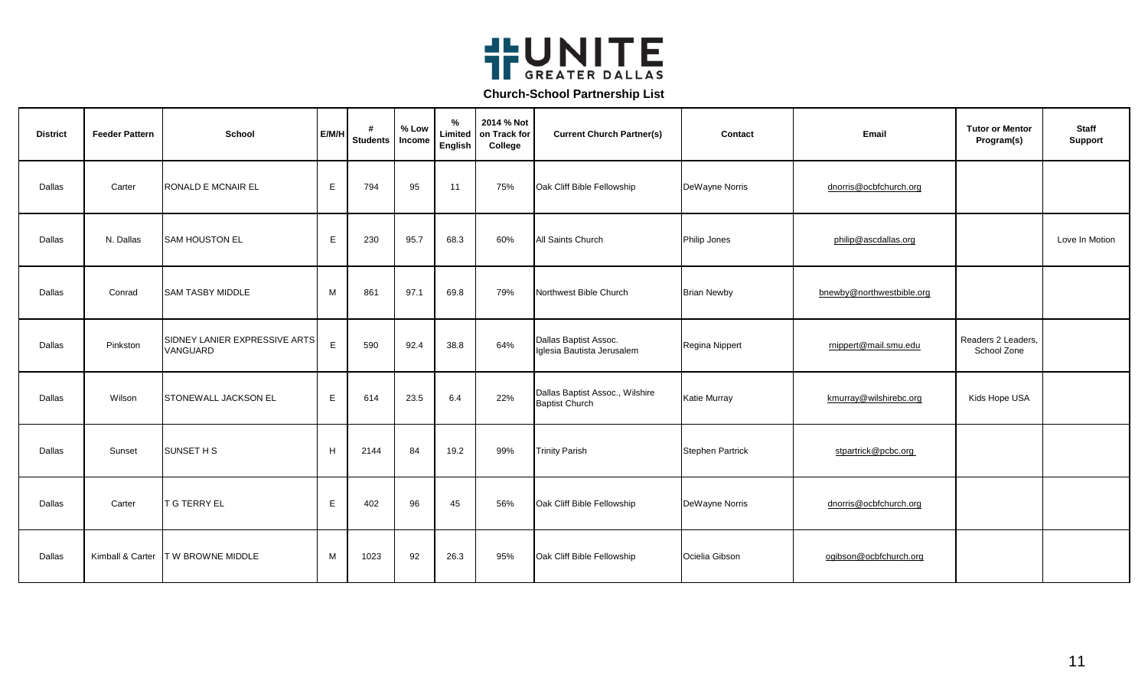

| <b>District</b> | <b>Feeder Pattern</b> | <b>School</b>                             | E/M/H | #<br><b>Students</b> | % Low<br>Income | %<br>Limited<br>English | 2014 % Not<br>on Track for<br>College | <b>Current Church Partner(s)</b>                         | Contact                 | Email                     | <b>Tutor or Mentor</b><br>Program(s) | <b>Staff</b><br><b>Support</b> |
|-----------------|-----------------------|-------------------------------------------|-------|----------------------|-----------------|-------------------------|---------------------------------------|----------------------------------------------------------|-------------------------|---------------------------|--------------------------------------|--------------------------------|
| Dallas          | Carter                | <b>RONALD E MCNAIR EL</b>                 | E     | 794                  | 95              | 11                      | 75%                                   | Oak Cliff Bible Fellowship                               | DeWayne Norris          | dnorris@ocbfchurch.org    |                                      |                                |
| Dallas          | N. Dallas             | <b>SAM HOUSTON EL</b>                     | E     | 230                  | 95.7            | 68.3                    | 60%                                   | <b>All Saints Church</b>                                 | Philip Jones            | philip@ascdallas.org      |                                      | Love In Motion                 |
| Dallas          | Conrad                | <b>SAM TASBY MIDDLE</b>                   | M     | 861                  | 97.1            | 69.8                    | 79%                                   | Northwest Bible Church                                   | <b>Brian Newby</b>      | bnewby@northwestbible.org |                                      |                                |
| Dallas          | Pinkston              | SIDNEY LANIER EXPRESSIVE ARTS<br>VANGUARD | E     | 590                  | 92.4            | 38.8                    | 64%                                   | Dallas Baptist Assoc.<br>Iglesia Bautista Jerusalem      | Regina Nippert          | rnippert@mail.smu.edu     | Readers 2 Leaders,<br>School Zone    |                                |
| Dallas          | Wilson                | <b>STONEWALL JACKSON EL</b>               | E.    | 614                  | 23.5            | 6.4                     | 22%                                   | Dallas Baptist Assoc., Wilshire<br><b>Baptist Church</b> | <b>Katie Murray</b>     | kmurray@wilshirebc.org    | Kids Hope USA                        |                                |
| Dallas          | Sunset                | <b>SUNSET H S</b>                         | H     | 2144                 | 84              | 19.2                    | 99%                                   | <b>Trinity Parish</b>                                    | <b>Stephen Partrick</b> | stpartrick@pcbc.org       |                                      |                                |
| Dallas          | Carter                | <b>T G TERRY EL</b>                       | E     | 402                  | 96              | 45                      | 56%                                   | Oak Cliff Bible Fellowship                               | DeWayne Norris          | dnorris@ocbfchurch.org    |                                      |                                |
| Dallas          |                       | Kimball & Carter   T W BROWNE MIDDLE      | M     | 1023                 | 92              | 26.3                    | 95%                                   | Oak Cliff Bible Fellowship                               | Ocielia Gibson          | ogibson@ocbfchurch.org    |                                      |                                |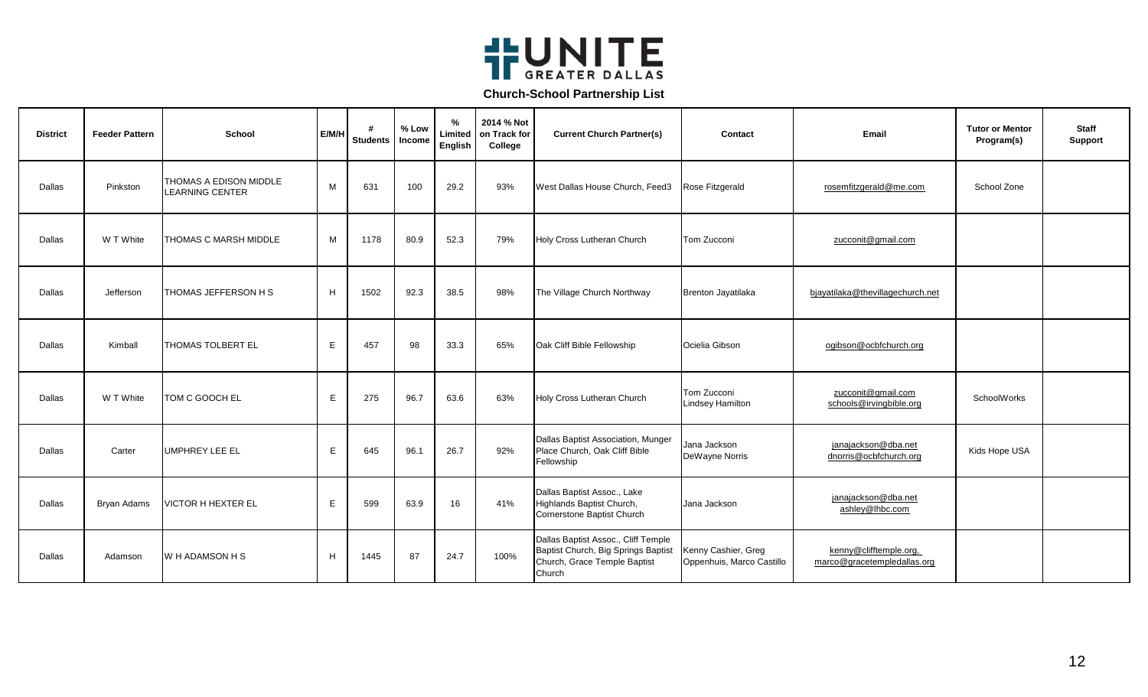

| <b>District</b> | <b>Feeder Pattern</b> | School                                           | E/M/H | <b>Students</b> | % Low<br>Income | $\%$<br>Limited<br>English | 2014 % Not<br>on Track for<br>College | <b>Current Church Partner(s)</b>                                                                                     | Contact                                          | Email                                                 | <b>Tutor or Mentor</b><br>Program(s) | <b>Staff</b><br><b>Support</b> |
|-----------------|-----------------------|--------------------------------------------------|-------|-----------------|-----------------|----------------------------|---------------------------------------|----------------------------------------------------------------------------------------------------------------------|--------------------------------------------------|-------------------------------------------------------|--------------------------------------|--------------------------------|
| Dallas          | Pinkston              | THOMAS A EDISON MIDDLE<br><b>LEARNING CENTER</b> | M     | 631             | 100             | 29.2                       | 93%                                   | West Dallas House Church, Feed3                                                                                      | Rose Fitzgerald                                  | rosemfitzgerald@me.com                                | School Zone                          |                                |
| Dallas          | W T White             | THOMAS C MARSH MIDDLE                            | M     | 1178            | 80.9            | 52.3                       | 79%                                   | Holy Cross Lutheran Church                                                                                           | Tom Zucconi                                      | zucconit@gmail.com                                    |                                      |                                |
| Dallas          | Jefferson             | THOMAS JEFFERSON H S                             | H     | 1502            | 92.3            | 38.5                       | 98%                                   | The Village Church Northway                                                                                          | Brenton Jayatilaka                               | bjayatilaka@thevillagechurch.net                      |                                      |                                |
| Dallas          | Kimball               | <b>THOMAS TOLBERT EL</b>                         | Е     | 457             | 98              | 33.3                       | 65%                                   | Oak Cliff Bible Fellowship                                                                                           | Ocielia Gibson                                   | ogibson@ocbfchurch.org                                |                                      |                                |
| Dallas          | W T White             | TOM C GOOCH EL                                   | E.    | 275             | 96.7            | 63.6                       | 63%                                   | Holy Cross Lutheran Church                                                                                           | Tom Zucconi<br><b>Lindsey Hamilton</b>           | zucconit@gmail.com<br>schools@irvingbible.org         | SchoolWorks                          |                                |
| Dallas          | Carter                | <b>UMPHREY LEE EL</b>                            | E.    | 645             | 96.1            | 26.7                       | 92%                                   | Dallas Baptist Association, Munger<br>Place Church, Oak Cliff Bible<br>Fellowship                                    | Jana Jackson<br>DeWayne Norris                   | janajackson@dba.net<br>dnorris@ocbfchurch.org         | Kids Hope USA                        |                                |
| Dallas          | <b>Bryan Adams</b>    | <b>VICTOR H HEXTER EL</b>                        | Е     | 599             | 63.9            | 16                         | 41%                                   | Dallas Baptist Assoc., Lake<br>Highlands Baptist Church,<br>Cornerstone Baptist Church                               | Jana Jackson                                     | janajackson@dba.net<br>ashley@lhbc.com                |                                      |                                |
| Dallas          | Adamson               | W H ADAMSON H S                                  | H     | 1445            | 87              | 24.7                       | 100%                                  | Dallas Baptist Assoc., Cliff Temple<br>Baptist Church, Big Springs Baptist<br>Church, Grace Temple Baptist<br>Church | Kenny Cashier, Greg<br>Oppenhuis, Marco Castillo | kenny@clifftemple.org,<br>marco@gracetempledallas.org |                                      |                                |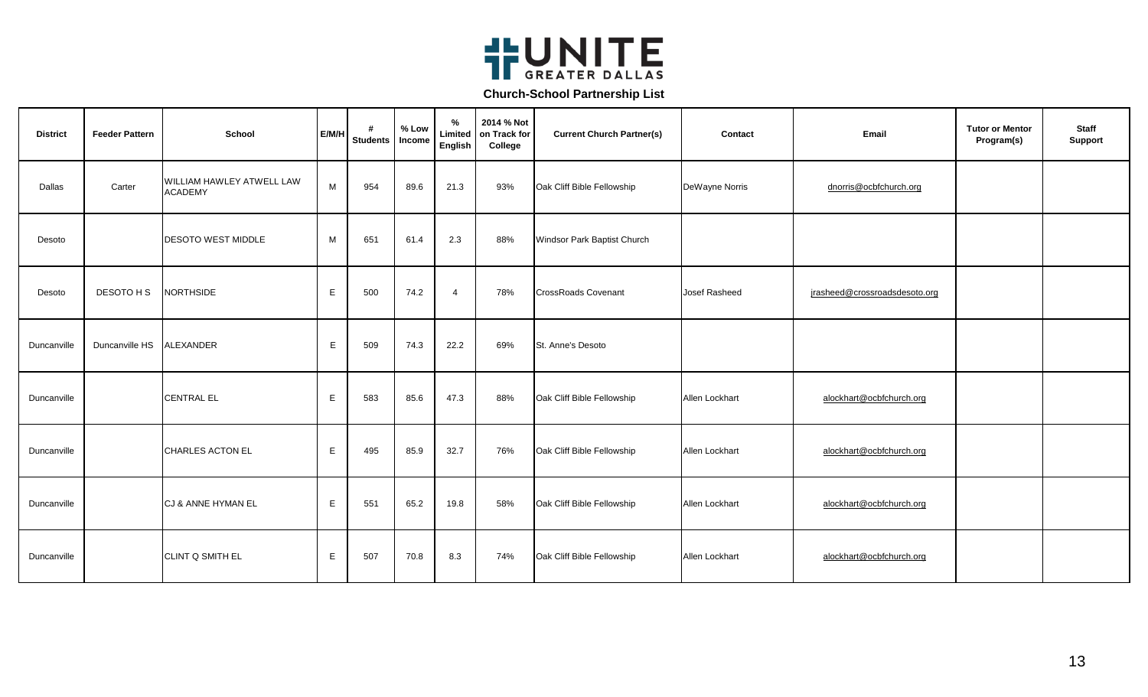

| <b>District</b> | <b>Feeder Pattern</b> | <b>School</b>                               | E/M/H | #<br><b>Students</b> | % Low<br>Income | %<br>Limited<br>English | 2014 % Not<br>on Track for<br>College | <b>Current Church Partner(s)</b> | <b>Contact</b> | Email                         | <b>Tutor or Mentor</b><br>Program(s) | <b>Staff</b><br>Support |
|-----------------|-----------------------|---------------------------------------------|-------|----------------------|-----------------|-------------------------|---------------------------------------|----------------------------------|----------------|-------------------------------|--------------------------------------|-------------------------|
| Dallas          | Carter                | WILLIAM HAWLEY ATWELL LAW<br><b>ACADEMY</b> | M     | 954                  | 89.6            | 21.3                    | 93%                                   | Oak Cliff Bible Fellowship       | DeWayne Norris | dnorris@ocbfchurch.org        |                                      |                         |
| Desoto          |                       | <b>DESOTO WEST MIDDLE</b>                   | M     | 651                  | 61.4            | 2.3                     | 88%                                   | Windsor Park Baptist Church      |                |                               |                                      |                         |
| Desoto          | DESOTO H S            | <b>NORTHSIDE</b>                            | E     | 500                  | 74.2            | $\overline{4}$          | 78%                                   | <b>CrossRoads Covenant</b>       | Josef Rasheed  | jrasheed@crossroadsdesoto.org |                                      |                         |
| Duncanville     | Duncanville HS        | <b>ALEXANDER</b>                            | E     | 509                  | 74.3            | 22.2                    | 69%                                   | St. Anne's Desoto                |                |                               |                                      |                         |
| Duncanville     |                       | <b>CENTRAL EL</b>                           | E     | 583                  | 85.6            | 47.3                    | 88%                                   | Oak Cliff Bible Fellowship       | Allen Lockhart | alockhart@ocbfchurch.org      |                                      |                         |
| Duncanville     |                       | CHARLES ACTON EL                            | Е     | 495                  | 85.9            | 32.7                    | 76%                                   | Oak Cliff Bible Fellowship       | Allen Lockhart | alockhart@ocbfchurch.org      |                                      |                         |
| Duncanville     |                       | CJ & ANNE HYMAN EL                          | E     | 551                  | 65.2            | 19.8                    | 58%                                   | Oak Cliff Bible Fellowship       | Allen Lockhart | alockhart@ocbfchurch.org      |                                      |                         |
| Duncanville     |                       | CLINT Q SMITH EL                            | E     | 507                  | 70.8            | 8.3                     | 74%                                   | Oak Cliff Bible Fellowship       | Allen Lockhart | alockhart@ocbfchurch.org      |                                      |                         |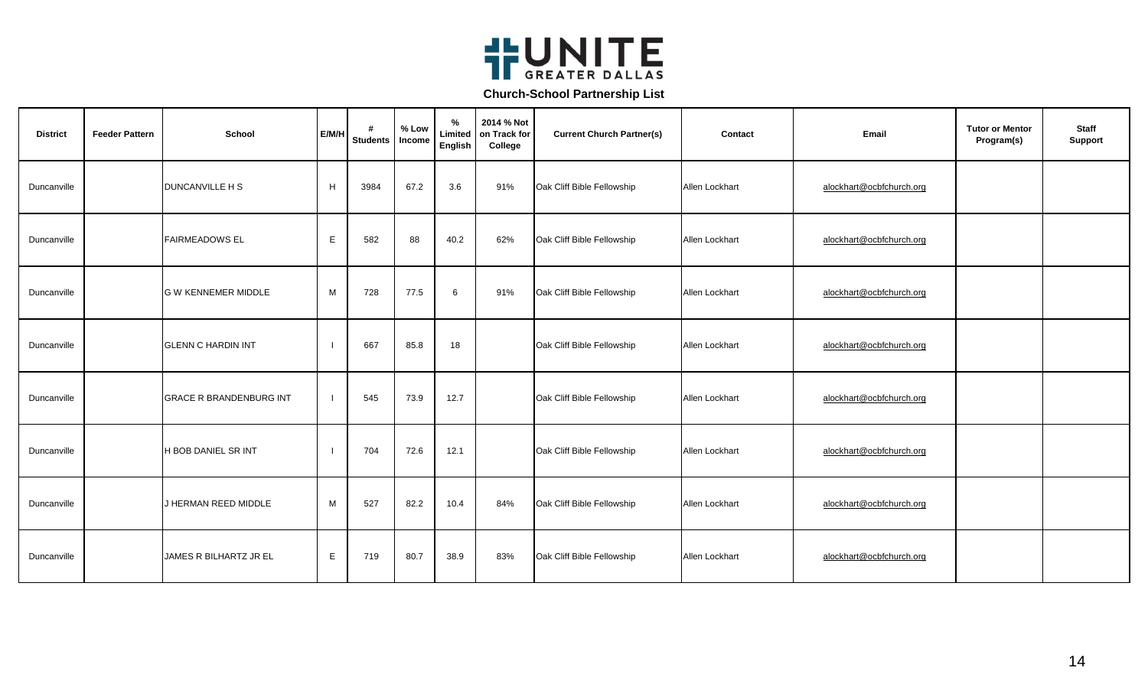

| <b>District</b> | <b>Feeder Pattern</b> | <b>School</b>                  | E/M/H       | #<br><b>Students</b> | % Low<br>Income | %<br>Limited<br>English | 2014 % Not<br>on Track for<br>College | <b>Current Church Partner(s)</b> | Contact        | Email                    | <b>Tutor or Mentor</b><br>Program(s) | <b>Staff</b><br>Support |
|-----------------|-----------------------|--------------------------------|-------------|----------------------|-----------------|-------------------------|---------------------------------------|----------------------------------|----------------|--------------------------|--------------------------------------|-------------------------|
| Duncanville     |                       | <b>DUNCANVILLE H S</b>         | H           | 3984                 | 67.2            | 3.6                     | 91%                                   | Oak Cliff Bible Fellowship       | Allen Lockhart | alockhart@ocbfchurch.org |                                      |                         |
| Duncanville     |                       | <b>FAIRMEADOWS EL</b>          | E           | 582                  | 88              | 40.2                    | 62%                                   | Oak Cliff Bible Fellowship       | Allen Lockhart | alockhart@ocbfchurch.org |                                      |                         |
| Duncanville     |                       | <b>G W KENNEMER MIDDLE</b>     | M           | 728                  | 77.5            | 6                       | 91%                                   | Oak Cliff Bible Fellowship       | Allen Lockhart | alockhart@ocbfchurch.org |                                      |                         |
| Duncanville     |                       | <b>GLENN C HARDIN INT</b>      |             | 667                  | 85.8            | 18                      |                                       | Oak Cliff Bible Fellowship       | Allen Lockhart | alockhart@ocbfchurch.org |                                      |                         |
| Duncanville     |                       | <b>GRACE R BRANDENBURG INT</b> |             | 545                  | 73.9            | 12.7                    |                                       | Oak Cliff Bible Fellowship       | Allen Lockhart | alockhart@ocbfchurch.org |                                      |                         |
| Duncanville     |                       | H BOB DANIEL SR INT            |             | 704                  | 72.6            | 12.1                    |                                       | Oak Cliff Bible Fellowship       | Allen Lockhart | alockhart@ocbfchurch.org |                                      |                         |
| Duncanville     |                       | J HERMAN REED MIDDLE           | M           | 527                  | 82.2            | 10.4                    | 84%                                   | Oak Cliff Bible Fellowship       | Allen Lockhart | alockhart@ocbfchurch.org |                                      |                         |
| Duncanville     |                       | JAMES R BILHARTZ JR EL         | $\mathsf E$ | 719                  | 80.7            | 38.9                    | 83%                                   | Oak Cliff Bible Fellowship       | Allen Lockhart | alockhart@ocbfchurch.org |                                      |                         |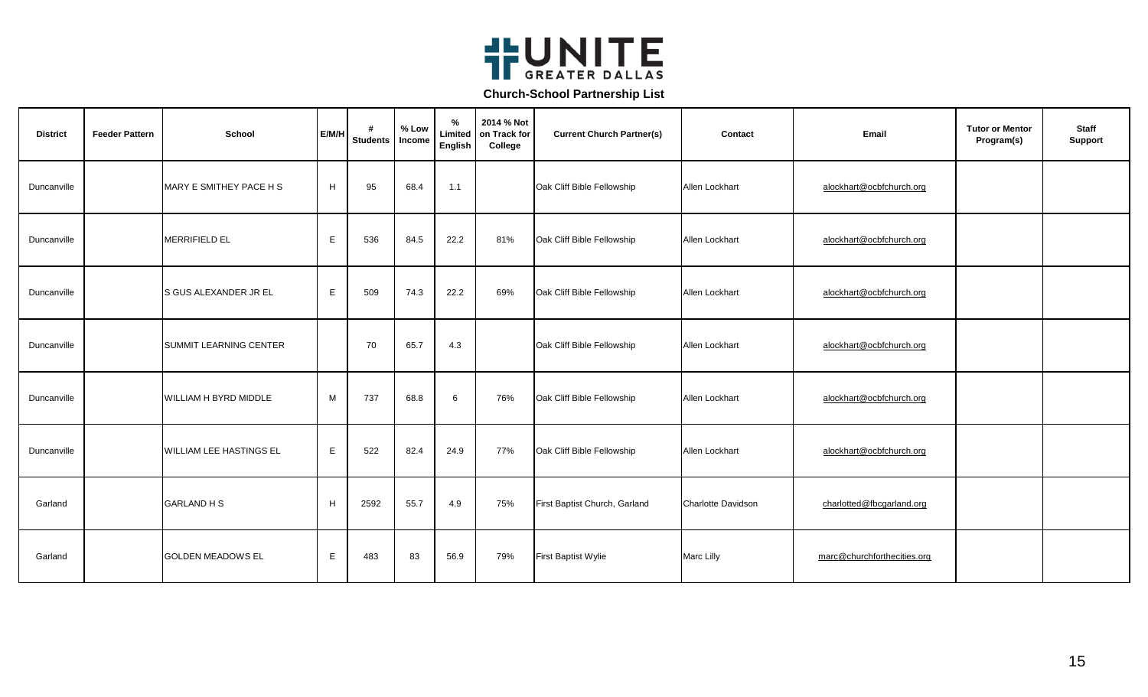

| <b>District</b> | <b>Feeder Pattern</b> | <b>School</b>                 | E/M/H | <b>Students</b> | % Low<br>Income | %<br>Limited<br><b>English</b> | 2014 % Not<br>on Track for<br>College | <b>Current Church Partner(s)</b> | Contact                   | Email                       | <b>Tutor or Mentor</b><br>Program(s) | <b>Staff</b><br><b>Support</b> |
|-----------------|-----------------------|-------------------------------|-------|-----------------|-----------------|--------------------------------|---------------------------------------|----------------------------------|---------------------------|-----------------------------|--------------------------------------|--------------------------------|
| Duncanville     |                       | MARY E SMITHEY PACE H S       | H     | 95              | 68.4            | 1.1                            |                                       | Oak Cliff Bible Fellowship       | Allen Lockhart            | alockhart@ocbfchurch.org    |                                      |                                |
| Duncanville     |                       | <b>MERRIFIELD EL</b>          | E.    | 536             | 84.5            | 22.2                           | 81%                                   | Oak Cliff Bible Fellowship       | Allen Lockhart            | alockhart@ocbfchurch.org    |                                      |                                |
| Duncanville     |                       | <b>S GUS ALEXANDER JR EL</b>  | E.    | 509             | 74.3            | 22.2                           | 69%                                   | Oak Cliff Bible Fellowship       | Allen Lockhart            | alockhart@ocbfchurch.org    |                                      |                                |
| Duncanville     |                       | <b>SUMMIT LEARNING CENTER</b> |       | 70              | 65.7            | 4.3                            |                                       | Oak Cliff Bible Fellowship       | Allen Lockhart            | alockhart@ocbfchurch.org    |                                      |                                |
| Duncanville     |                       | <b>WILLIAM H BYRD MIDDLE</b>  | М     | 737             | 68.8            | 6                              | 76%                                   | Oak Cliff Bible Fellowship       | Allen Lockhart            | alockhart@ocbfchurch.org    |                                      |                                |
| Duncanville     |                       | WILLIAM LEE HASTINGS EL       | E     | 522             | 82.4            | 24.9                           | 77%                                   | Oak Cliff Bible Fellowship       | Allen Lockhart            | alockhart@ocbfchurch.org    |                                      |                                |
| Garland         |                       | <b>GARLAND H S</b>            | H     | 2592            | 55.7            | 4.9                            | 75%                                   | First Baptist Church, Garland    | <b>Charlotte Davidson</b> | charlotted@fbcgarland.org   |                                      |                                |
| Garland         |                       | <b>GOLDEN MEADOWS EL</b>      | E     | 483             | 83              | 56.9                           | 79%                                   | First Baptist Wylie              | <b>Marc Lilly</b>         | marc@churchforthecities.org |                                      |                                |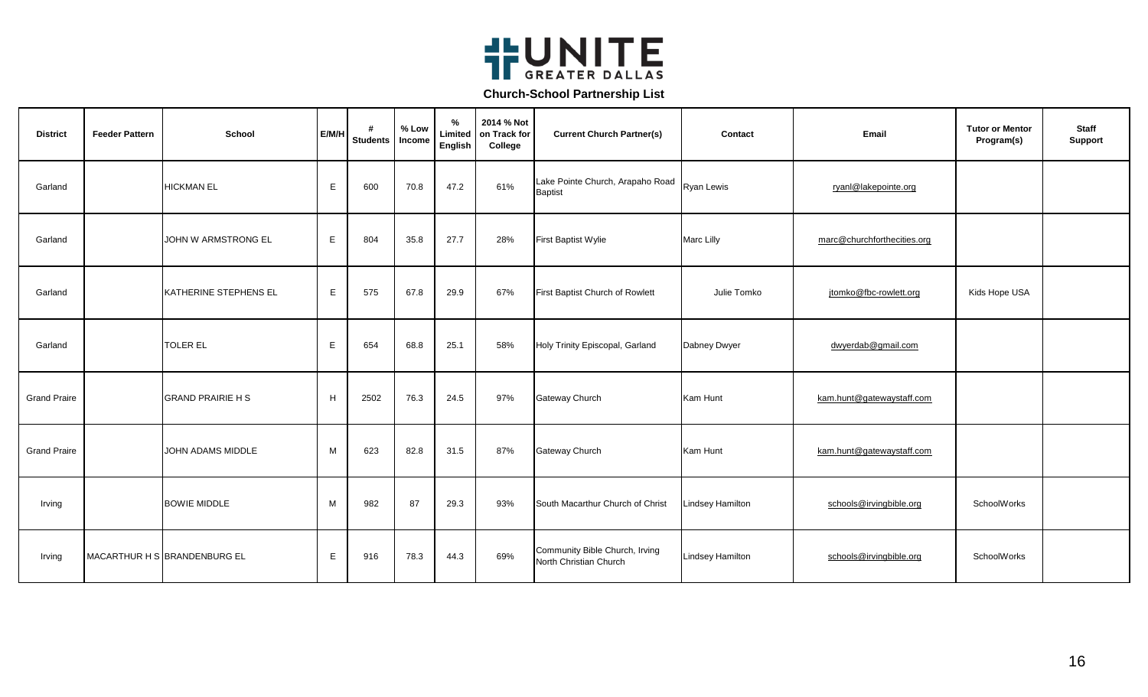

| <b>District</b>     | <b>Feeder Pattern</b> | <b>School</b>                | E/M/H        | #<br>Students   Income | % Low | %<br>Limited<br>English | 2014 % Not<br>on Track for<br>College | <b>Current Church Partner(s)</b>                         | Contact                 | Email                       | <b>Tutor or Mentor</b><br>Program(s) | <b>Staff</b><br>Support |
|---------------------|-----------------------|------------------------------|--------------|------------------------|-------|-------------------------|---------------------------------------|----------------------------------------------------------|-------------------------|-----------------------------|--------------------------------------|-------------------------|
| Garland             |                       | <b>HICKMAN EL</b>            | E            | 600                    | 70.8  | 47.2                    | 61%                                   | Lake Pointe Church, Arapaho Road<br><b>Baptist</b>       | <b>Ryan Lewis</b>       | ryanl@lakepointe.org        |                                      |                         |
| Garland             |                       | JOHN W ARMSTRONG EL          | $\mathsf{E}$ | 804                    | 35.8  | 27.7                    | 28%                                   | First Baptist Wylie                                      | Marc Lilly              | marc@churchforthecities.org |                                      |                         |
| Garland             |                       | KATHERINE STEPHENS EL        | E            | 575                    | 67.8  | 29.9                    | 67%                                   | First Baptist Church of Rowlett                          | Julie Tomko             | jtomko@fbc-rowlett.org      | Kids Hope USA                        |                         |
| Garland             |                       | <b>TOLER EL</b>              | E            | 654                    | 68.8  | 25.1                    | 58%                                   | Holy Trinity Episcopal, Garland                          | Dabney Dwyer            | dwyerdab@gmail.com          |                                      |                         |
| <b>Grand Praire</b> |                       | <b>GRAND PRAIRIE H S</b>     | H            | 2502                   | 76.3  | 24.5                    | 97%                                   | Gateway Church                                           | Kam Hunt                | kam.hunt@gatewaystaff.com   |                                      |                         |
| <b>Grand Praire</b> |                       | JOHN ADAMS MIDDLE            | M            | 623                    | 82.8  | 31.5                    | 87%                                   | Gateway Church                                           | Kam Hunt                | kam.hunt@gatewaystaff.com   |                                      |                         |
| Irving              |                       | <b>BOWIE MIDDLE</b>          | M            | 982                    | 87    | 29.3                    | 93%                                   | South Macarthur Church of Christ                         | <b>Lindsey Hamilton</b> | schools@irvingbible.org     | SchoolWorks                          |                         |
| Irving              |                       | MACARTHUR H S BRANDENBURG EL | E            | 916                    | 78.3  | 44.3                    | 69%                                   | Community Bible Church, Irving<br>North Christian Church | <b>Lindsey Hamilton</b> | schools@irvingbible.org     | SchoolWorks                          |                         |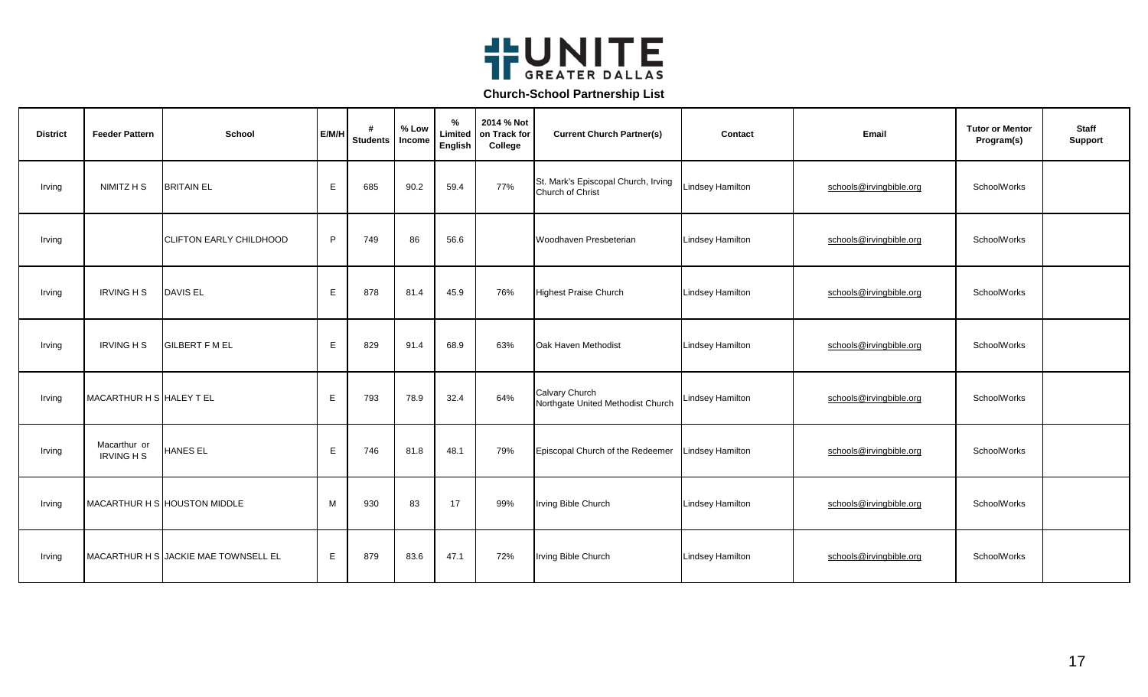

| <b>District</b> | <b>Feeder Pattern</b>             | <b>School</b>                        | E/M/H       | #<br><b>Students</b> | % Low<br>Income | $\%$<br>Limited<br>English | 2014 % Not<br>on Track for<br>College | <b>Current Church Partner(s)</b>                        | Contact                 | Email                   | <b>Tutor or Mentor</b><br>Program(s) | <b>Staff</b><br>Support |
|-----------------|-----------------------------------|--------------------------------------|-------------|----------------------|-----------------|----------------------------|---------------------------------------|---------------------------------------------------------|-------------------------|-------------------------|--------------------------------------|-------------------------|
| Irving          | NIMITZ H S                        | <b>BRITAIN EL</b>                    | E           | 685                  | 90.2            | 59.4                       | 77%                                   | St. Mark's Episcopal Church, Irving<br>Church of Christ | <b>Lindsey Hamilton</b> | schools@irvingbible.org | SchoolWorks                          |                         |
| Irving          |                                   | <b>CLIFTON EARLY CHILDHOOD</b>       | P           | 749                  | 86              | 56.6                       |                                       | Woodhaven Presbeterian                                  | <b>Lindsey Hamilton</b> | schools@irvingbible.org | SchoolWorks                          |                         |
| Irving          | <b>IRVING H S</b>                 | <b>DAVIS EL</b>                      | E           | 878                  | 81.4            | 45.9                       | 76%                                   | <b>Highest Praise Church</b>                            | <b>Lindsey Hamilton</b> | schools@irvingbible.org | SchoolWorks                          |                         |
| Irving          | <b>IRVING H S</b>                 | <b>GILBERT F M EL</b>                | E           | 829                  | 91.4            | 68.9                       | 63%                                   | Oak Haven Methodist                                     | <b>Lindsey Hamilton</b> | schools@irvingbible.org | SchoolWorks                          |                         |
| Irving          | MACARTHUR H S HALEY T EL          |                                      | E           | 793                  | 78.9            | 32.4                       | 64%                                   | Calvary Church<br>Northgate United Methodist Church     | <b>Lindsey Hamilton</b> | schools@irvingbible.org | SchoolWorks                          |                         |
| Irving          | Macarthur or<br><b>IRVING H S</b> | <b>HANES EL</b>                      | E           | 746                  | 81.8            | 48.1                       | 79%                                   | Episcopal Church of the Redeemer                        | <b>Lindsey Hamilton</b> | schools@irvingbible.org | SchoolWorks                          |                         |
| Irving          |                                   | MACARTHUR H S HOUSTON MIDDLE         | М           | 930                  | 83              | 17                         | 99%                                   | Irving Bible Church                                     | <b>Lindsey Hamilton</b> | schools@irvingbible.org | SchoolWorks                          |                         |
| Irving          |                                   | MACARTHUR H S JACKIE MAE TOWNSELL EL | $\mathsf E$ | 879                  | 83.6            | 47.1                       | 72%                                   | Irving Bible Church                                     | <b>Lindsey Hamilton</b> | schools@irvingbible.org | SchoolWorks                          |                         |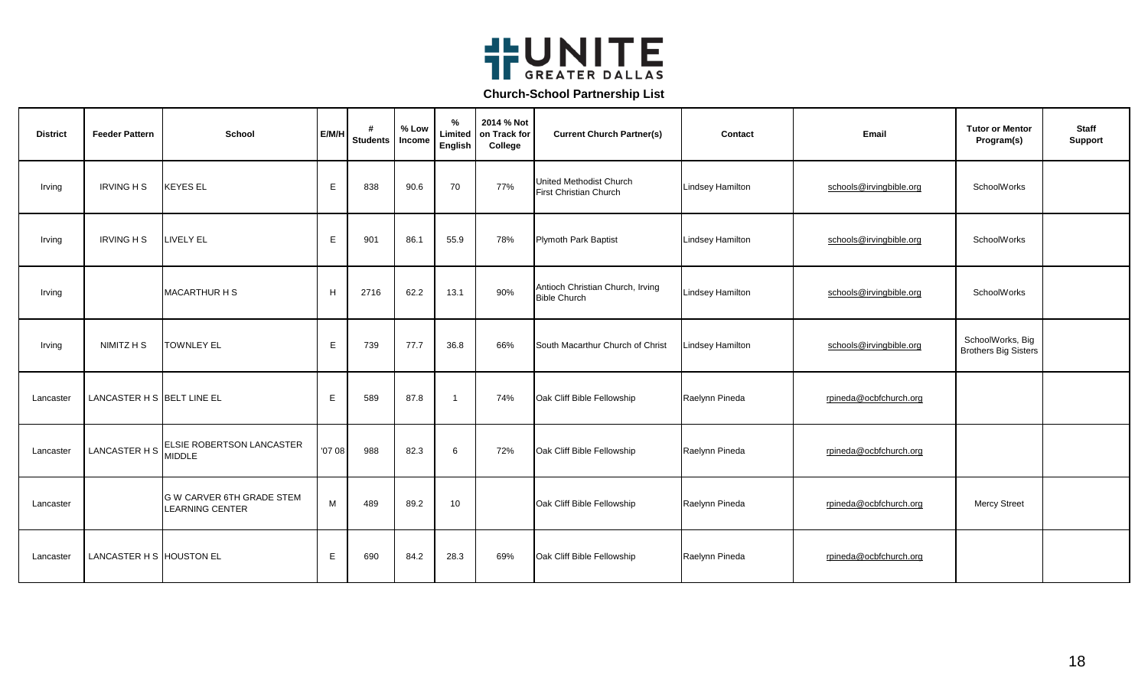

| <b>District</b> | <b>Feeder Pattern</b>      | <b>School</b>                                       | E/M/H  | #<br><b>Students</b> | % Low<br>Income | %<br>Limited<br>English | 2014 % Not<br>on Track for<br>College | <b>Current Church Partner(s)</b>                         | Contact                 | Email                   | <b>Tutor or Mentor</b><br>Program(s)            | <b>Staff</b><br><b>Support</b> |
|-----------------|----------------------------|-----------------------------------------------------|--------|----------------------|-----------------|-------------------------|---------------------------------------|----------------------------------------------------------|-------------------------|-------------------------|-------------------------------------------------|--------------------------------|
| Irving          | <b>IRVING H S</b>          | <b>KEYES EL</b>                                     | E      | 838                  | 90.6            | 70                      | 77%                                   | United Methodist Church<br><b>First Christian Church</b> | <b>Lindsey Hamilton</b> | schools@irvingbible.org | SchoolWorks                                     |                                |
| Irving          | <b>IRVING H S</b>          | LIVELY EL                                           | E      | 901                  | 86.1            | 55.9                    | 78%                                   | <b>Plymoth Park Baptist</b>                              | <b>Lindsey Hamilton</b> | schools@irvingbible.org | SchoolWorks                                     |                                |
| Irving          |                            | <b>MACARTHUR H S</b>                                | H      | 2716                 | 62.2            | 13.1                    | 90%                                   | Antioch Christian Church, Irving<br><b>Bible Church</b>  | <b>Lindsey Hamilton</b> | schools@irvingbible.org | SchoolWorks                                     |                                |
| Irving          | NIMITZ H S                 | <b>TOWNLEY EL</b>                                   | E      | 739                  | 77.7            | 36.8                    | 66%                                   | South Macarthur Church of Christ                         | <b>Lindsey Hamilton</b> | schools@irvingbible.org | SchoolWorks, Big<br><b>Brothers Big Sisters</b> |                                |
| Lancaster       | LANCASTER H S BELT LINE EL |                                                     | Е      | 589                  | 87.8            | $\overline{1}$          | 74%                                   | Oak Cliff Bible Fellowship                               | Raelynn Pineda          | rpineda@ocbfchurch.org  |                                                 |                                |
| Lancaster       | LANCASTER H S              | ELSIE ROBERTSON LANCASTER<br><b>MIDDLE</b>          | '07 08 | 988                  | 82.3            | 6                       | 72%                                   | Oak Cliff Bible Fellowship                               | Raelynn Pineda          | rpineda@ocbfchurch.org  |                                                 |                                |
| Lancaster       |                            | G W CARVER 6TH GRADE STEM<br><b>LEARNING CENTER</b> | M      | 489                  | 89.2            | 10                      |                                       | Oak Cliff Bible Fellowship                               | Raelynn Pineda          | rpineda@ocbfchurch.org  | <b>Mercy Street</b>                             |                                |
| Lancaster       | LANCASTER H S HOUSTON EL   |                                                     | Е      | 690                  | 84.2            | 28.3                    | 69%                                   | Oak Cliff Bible Fellowship                               | Raelynn Pineda          | rpineda@ocbfchurch.org  |                                                 |                                |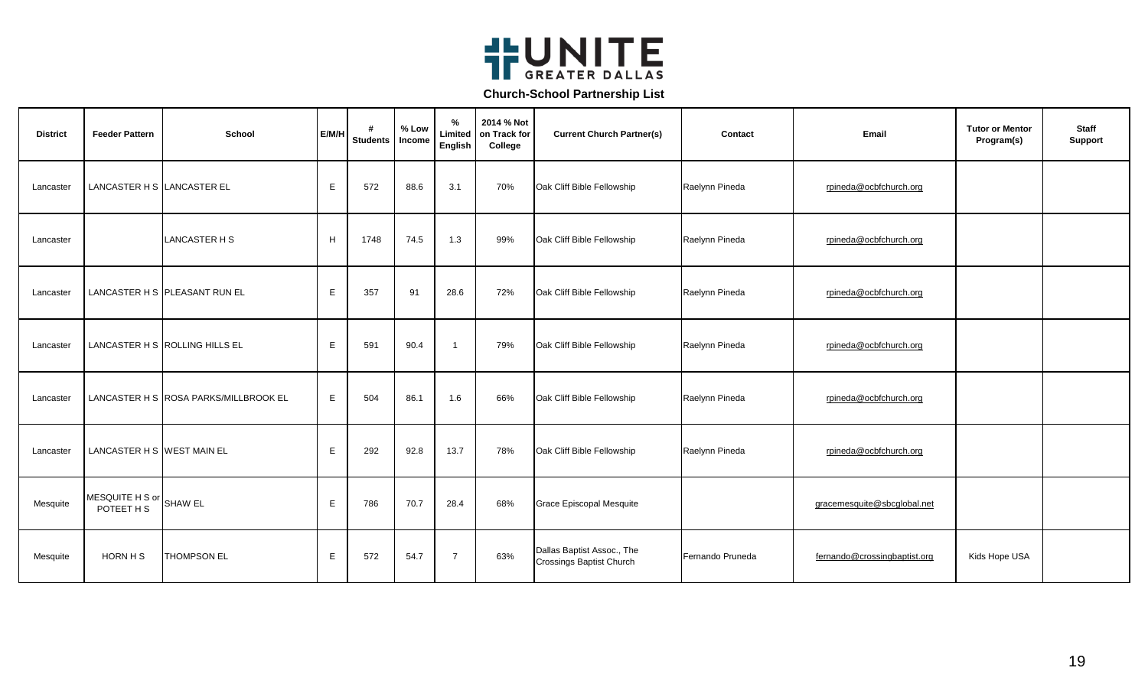

| <b>District</b> | <b>Feeder Pattern</b>         | School                                | E/M/H | #<br><b>Students</b> | % Low<br>Income | %<br>Limited<br>English | 2014 % Not<br>on Track for<br>College | <b>Current Church Partner(s)</b>                              | Contact          | Email                        | <b>Tutor or Mentor</b><br>Program(s) | <b>Staff</b><br>Support |
|-----------------|-------------------------------|---------------------------------------|-------|----------------------|-----------------|-------------------------|---------------------------------------|---------------------------------------------------------------|------------------|------------------------------|--------------------------------------|-------------------------|
| Lancaster       | LANCASTER H S LANCASTER EL    |                                       | E     | 572                  | 88.6            | 3.1                     | 70%                                   | Oak Cliff Bible Fellowship                                    | Raelynn Pineda   | rpineda@ocbfchurch.org       |                                      |                         |
| Lancaster       |                               | LANCASTER H S                         | H     | 1748                 | 74.5            | 1.3                     | 99%                                   | Oak Cliff Bible Fellowship                                    | Raelynn Pineda   | rpineda@ocbfchurch.org       |                                      |                         |
| Lancaster       |                               | LANCASTER H S PLEASANT RUN EL         | E     | 357                  | 91              | 28.6                    | 72%                                   | Oak Cliff Bible Fellowship                                    | Raelynn Pineda   | rpineda@ocbfchurch.org       |                                      |                         |
| Lancaster       |                               | LANCASTER H S ROLLING HILLS EL        | E     | 591                  | 90.4            | $\mathbf{1}$            | 79%                                   | Oak Cliff Bible Fellowship                                    | Raelynn Pineda   | rpineda@ocbfchurch.org       |                                      |                         |
| Lancaster       |                               | LANCASTER H S ROSA PARKS/MILLBROOK EL | E     | 504                  | 86.1            | 1.6                     | 66%                                   | Oak Cliff Bible Fellowship                                    | Raelynn Pineda   | rpineda@ocbfchurch.org       |                                      |                         |
| Lancaster       | LANCASTER H S WEST MAIN EL    |                                       | E     | 292                  | 92.8            | 13.7                    | 78%                                   | Oak Cliff Bible Fellowship                                    | Raelynn Pineda   | rpineda@ocbfchurch.org       |                                      |                         |
| Mesquite        | MESQUITE H S or<br>POTEET H S | <b>SHAW EL</b>                        | E     | 786                  | 70.7            | 28.4                    | 68%                                   | Grace Episcopal Mesquite                                      |                  | gracemesquite@sbcglobal.net  |                                      |                         |
| Mesquite        | HORN H S                      | <b>THOMPSON EL</b>                    | E     | 572                  | 54.7            | $\overline{7}$          | 63%                                   | Dallas Baptist Assoc., The<br><b>Crossings Baptist Church</b> | Fernando Pruneda | fernando@crossingbaptist.org | Kids Hope USA                        |                         |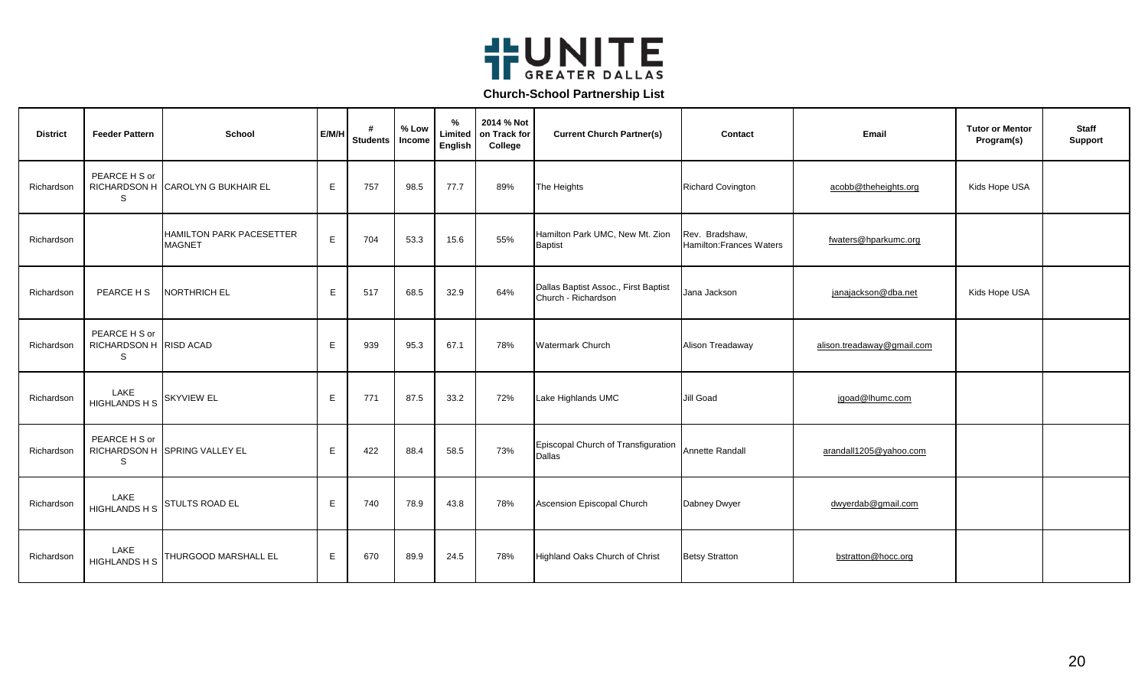

| <b>District</b> | <b>Feeder Pattern</b>                        | School                                    | E/M/H | #<br><b>Students</b> | % Low<br>Income | $\%$<br>Limited<br>English | 2014 % Not<br>on Track for<br>College | <b>Current Church Partner(s)</b>                            | Contact                                          | Email                      | <b>Tutor or Mentor</b><br>Program(s) | <b>Staff</b><br><b>Support</b> |
|-----------------|----------------------------------------------|-------------------------------------------|-------|----------------------|-----------------|----------------------------|---------------------------------------|-------------------------------------------------------------|--------------------------------------------------|----------------------------|--------------------------------------|--------------------------------|
| Richardson      | PEARCE H S or<br>S                           | RICHARDSON H CAROLYN G BUKHAIR EL         | E     | 757                  | 98.5            | 77.7                       | 89%                                   | The Heights                                                 | <b>Richard Covington</b>                         | acobb@theheights.org       | Kids Hope USA                        |                                |
| Richardson      |                                              | HAMILTON PARK PACESETTER<br><b>MAGNET</b> | Е     | 704                  | 53.3            | 15.6                       | 55%                                   | Hamilton Park UMC, New Mt. Zion<br><b>Baptist</b>           | Rev. Bradshaw,<br><b>Hamilton:Frances Waters</b> | fwaters@hparkumc.org       |                                      |                                |
| Richardson      | PEARCE H S                                   | NORTHRICH EL                              | E     | 517                  | 68.5            | 32.9                       | 64%                                   | Dallas Baptist Assoc., First Baptist<br>Church - Richardson | Jana Jackson                                     | janajackson@dba.net        | Kids Hope USA                        |                                |
| Richardson      | PEARCE H S or<br>RICHARDSON H RISD ACAD<br>S |                                           | Е     | 939                  | 95.3            | 67.1                       | 78%                                   | <b>Watermark Church</b>                                     | Alison Treadaway                                 | alison.treadaway@gmail.com |                                      |                                |
| Richardson      | LAKE<br><b>HIGHLANDS H S</b>                 | <b>SKYVIEW EL</b>                         | E.    | 771                  | 87.5            | 33.2                       | 72%                                   | Lake Highlands UMC                                          | Jill Goad                                        | jgoad@lhumc.com            |                                      |                                |
| Richardson      | PEARCE H S or<br>S                           | RICHARDSON H SPRING VALLEY EL             | E     | 422                  | 88.4            | 58.5                       | 73%                                   | Episcopal Church of Transfiguration<br><b>Dallas</b>        | <b>Annette Randall</b>                           | arandall1205@yahoo.com     |                                      |                                |
| Richardson      | LAKE<br><b>HIGHLANDS H S</b>                 | <b>STULTS ROAD EL</b>                     | E     | 740                  | 78.9            | 43.8                       | 78%                                   | Ascension Episcopal Church                                  | Dabney Dwyer                                     | dwyerdab@gmail.com         |                                      |                                |
| Richardson      | LAKE<br>HIGHLANDS H S                        | THURGOOD MARSHALL EL                      | E     | 670                  | 89.9            | 24.5                       | 78%                                   | Highland Oaks Church of Christ                              | <b>Betsy Stratton</b>                            | bstratton@hocc.org         |                                      |                                |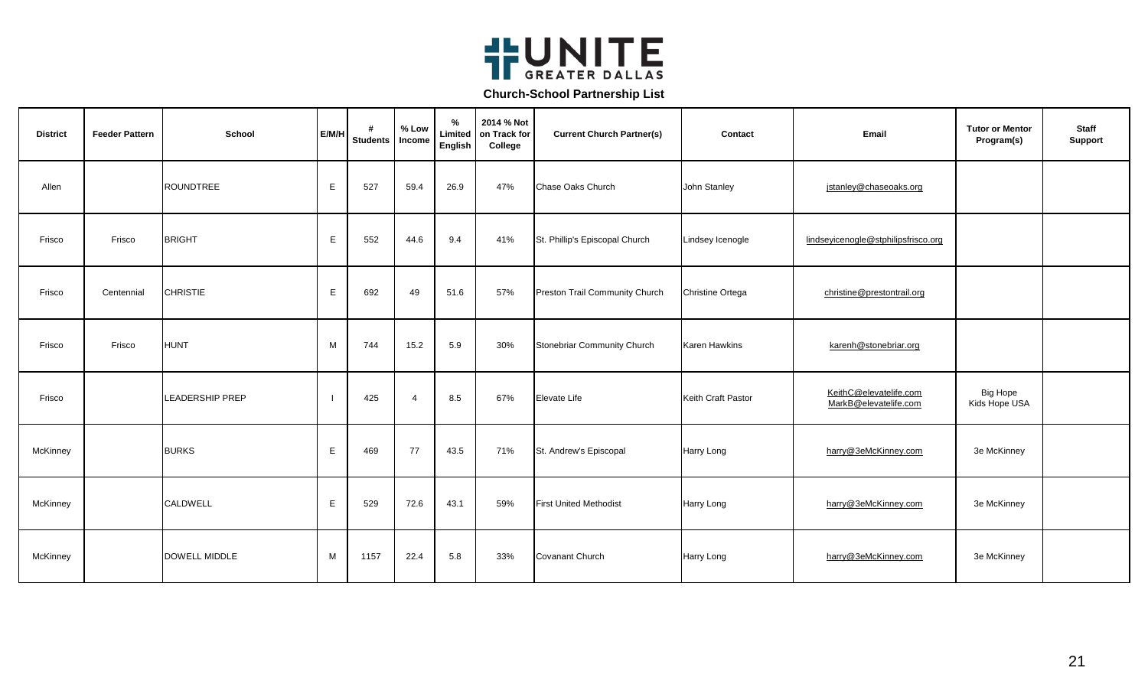

| <b>District</b> | <b>Feeder Pattern</b> | School                 | E/M/H | <b>Students</b> | % Low<br>Income | %<br>Limited<br>English | 2014 % Not<br>on Track for<br>College | <b>Current Church Partner(s)</b> | Contact              | Email                                           | <b>Tutor or Mentor</b><br>Program(s) | <b>Staff</b><br><b>Support</b> |
|-----------------|-----------------------|------------------------|-------|-----------------|-----------------|-------------------------|---------------------------------------|----------------------------------|----------------------|-------------------------------------------------|--------------------------------------|--------------------------------|
| Allen           |                       | <b>ROUNDTREE</b>       | E     | 527             | 59.4            | 26.9                    | 47%                                   | Chase Oaks Church                | John Stanley         | jstanley@chaseoaks.org                          |                                      |                                |
| Frisco          | Frisco                | <b>BRIGHT</b>          | E     | 552             | 44.6            | 9.4                     | 41%                                   | St. Phillip's Episcopal Church   | Lindsey Icenogle     | lindseyicenogle@stphilipsfrisco.org             |                                      |                                |
| Frisco          | Centennial            | <b>CHRISTIE</b>        | E     | 692             | 49              | 51.6                    | 57%                                   | Preston Trail Community Church   | Christine Ortega     | christine@prestontrail.org                      |                                      |                                |
| Frisco          | Frisco                | <b>HUNT</b>            | M     | 744             | 15.2            | 5.9                     | 30%                                   | Stonebriar Community Church      | <b>Karen Hawkins</b> | karenh@stonebriar.org                           |                                      |                                |
| Frisco          |                       | <b>LEADERSHIP PREP</b> |       | 425             | $\overline{4}$  | 8.5                     | 67%                                   | Elevate Life                     | Keith Craft Pastor   | KeithC@elevatelife.com<br>MarkB@elevatelife.com | <b>Big Hope</b><br>Kids Hope USA     |                                |
| McKinney        |                       | <b>BURKS</b>           | Е     | 469             | 77              | 43.5                    | 71%                                   | St. Andrew's Episcopal           | Harry Long           | harry@3eMcKinney.com                            | 3e McKinney                          |                                |
| McKinney        |                       | CALDWELL               | E     | 529             | 72.6            | 43.1                    | 59%                                   | <b>First United Methodist</b>    | <b>Harry Long</b>    | harry@3eMcKinney.com                            | 3e McKinney                          |                                |
| McKinney        |                       | <b>DOWELL MIDDLE</b>   | М     | 1157            | 22.4            | 5.8                     | 33%                                   | Covanant Church                  | Harry Long           | harry@3eMcKinney.com                            | 3e McKinney                          |                                |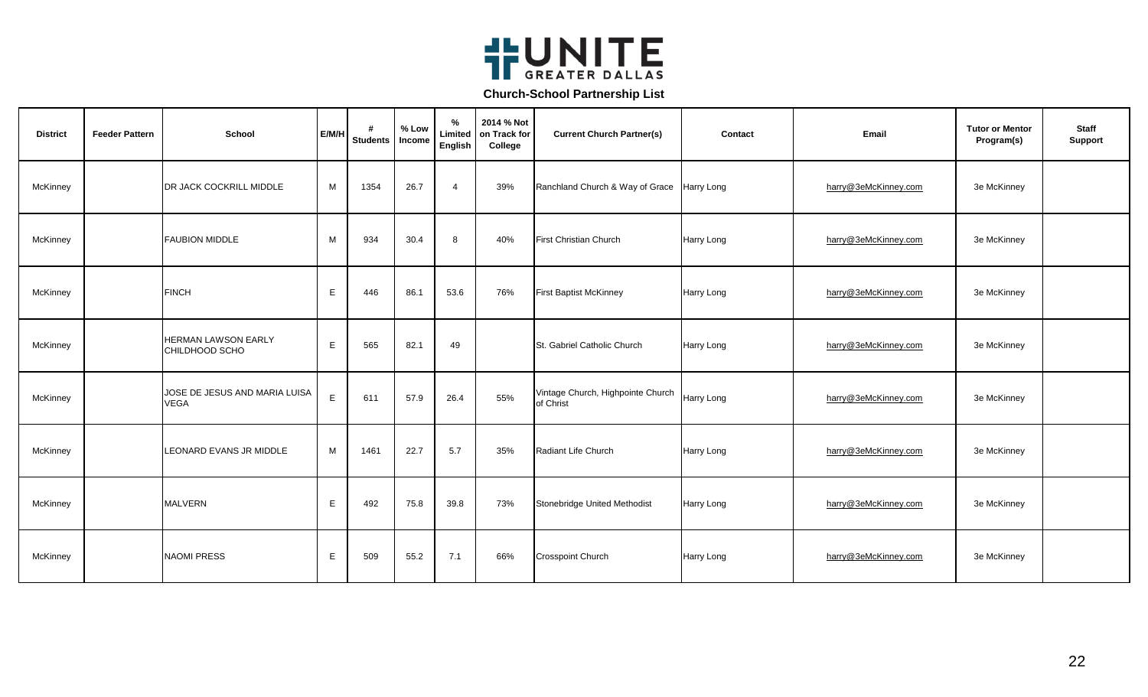

| <b>District</b> | <b>Feeder Pattern</b> | School                                       | E/M/H | #<br><b>Students</b> | % Low<br>Income | %<br>Limited<br>English | 2014 % Not<br>on Track for<br>College | <b>Current Church Partner(s)</b>               | Contact           | Email                | <b>Tutor or Mentor</b><br>Program(s) | <b>Staff</b><br><b>Support</b> |
|-----------------|-----------------------|----------------------------------------------|-------|----------------------|-----------------|-------------------------|---------------------------------------|------------------------------------------------|-------------------|----------------------|--------------------------------------|--------------------------------|
| McKinney        |                       | DR JACK COCKRILL MIDDLE                      | M     | 1354                 | 26.7            | $\overline{4}$          | 39%                                   | Ranchland Church & Way of Grace Harry Long     |                   | harry@3eMcKinney.com | 3e McKinney                          |                                |
| McKinney        |                       | <b>FAUBION MIDDLE</b>                        | M     | 934                  | 30.4            | 8                       | 40%                                   | <b>First Christian Church</b>                  | Harry Long        | harry@3eMcKinney.com | 3e McKinney                          |                                |
| McKinney        |                       | <b>FINCH</b>                                 | E     | 446                  | 86.1            | 53.6                    | 76%                                   | <b>First Baptist McKinney</b>                  | Harry Long        | harry@3eMcKinney.com | 3e McKinney                          |                                |
| McKinney        |                       | <b>HERMAN LAWSON EARLY</b><br>CHILDHOOD SCHO | E     | 565                  | 82.1            | 49                      |                                       | St. Gabriel Catholic Church                    | Harry Long        | harry@3eMcKinney.com | 3e McKinney                          |                                |
| McKinney        |                       | JOSE DE JESUS AND MARIA LUISA<br><b>VEGA</b> | E     | 611                  | 57.9            | 26.4                    | 55%                                   | Vintage Church, Highpointe Church<br>of Christ | <b>Harry Long</b> | harry@3eMcKinney.com | 3e McKinney                          |                                |
| McKinney        |                       | LEONARD EVANS JR MIDDLE                      | M     | 1461                 | 22.7            | 5.7                     | 35%                                   | Radiant Life Church                            | Harry Long        | harry@3eMcKinney.com | 3e McKinney                          |                                |
| McKinney        |                       | <b>MALVERN</b>                               | E     | 492                  | 75.8            | 39.8                    | 73%                                   | Stonebridge United Methodist                   | Harry Long        | harry@3eMcKinney.com | 3e McKinney                          |                                |
| McKinney        |                       | <b>NAOMI PRESS</b>                           | E     | 509                  | 55.2            | 7.1                     | 66%                                   | <b>Crosspoint Church</b>                       | Harry Long        | harry@3eMcKinney.com | 3e McKinney                          |                                |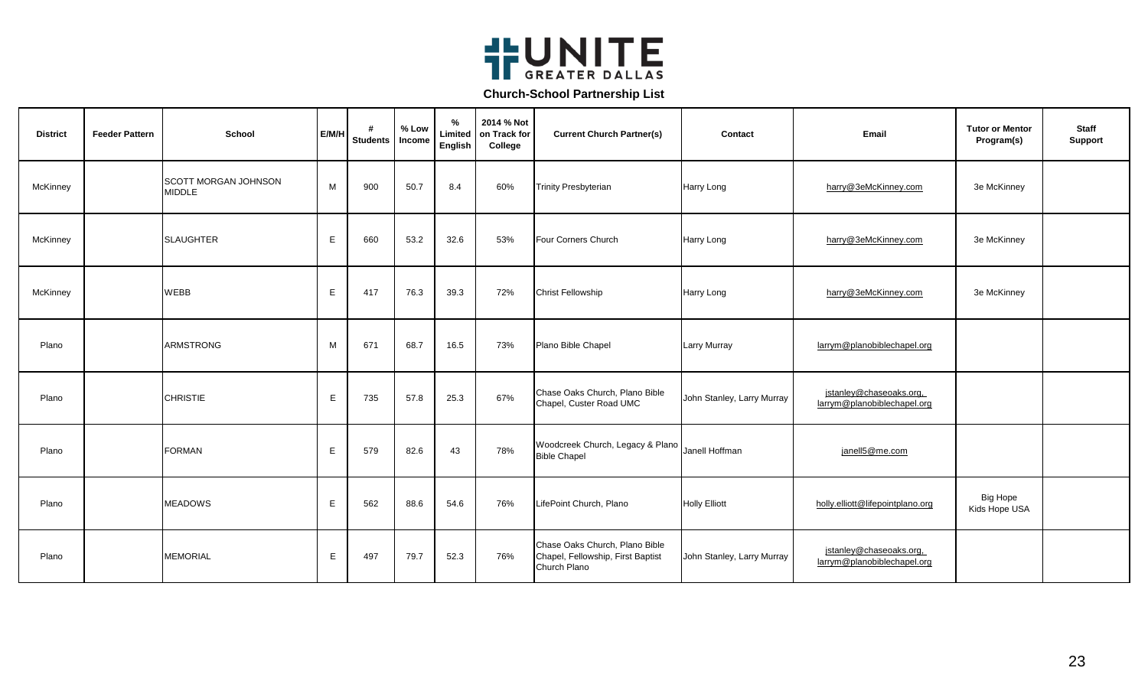

| <b>District</b> | <b>Feeder Pattern</b> | School                                       | E/M/H | #<br><b>Students</b> | % Low<br>Income | %<br>Limited<br>English | 2014 % Not<br>on Track for<br>College | <b>Current Church Partner(s)</b>                                                    | Contact                    | Email                                                  | <b>Tutor or Mentor</b><br>Program(s) | <b>Staff</b><br><b>Support</b> |
|-----------------|-----------------------|----------------------------------------------|-------|----------------------|-----------------|-------------------------|---------------------------------------|-------------------------------------------------------------------------------------|----------------------------|--------------------------------------------------------|--------------------------------------|--------------------------------|
| McKinney        |                       | <b>SCOTT MORGAN JOHNSON</b><br><b>MIDDLE</b> | M     | 900                  | 50.7            | 8.4                     | 60%                                   | <b>Trinity Presbyterian</b>                                                         | Harry Long                 | harry@3eMcKinney.com                                   | 3e McKinney                          |                                |
| McKinney        |                       | <b>SLAUGHTER</b>                             | Е     | 660                  | 53.2            | 32.6                    | 53%                                   | Four Corners Church                                                                 | Harry Long                 | harry@3eMcKinney.com                                   | 3e McKinney                          |                                |
| McKinney        |                       | <b>WEBB</b>                                  | E     | 417                  | 76.3            | 39.3                    | 72%                                   | <b>Christ Fellowship</b>                                                            | Harry Long                 | harry@3eMcKinney.com                                   | 3e McKinney                          |                                |
| Plano           |                       | <b>ARMSTRONG</b>                             | M     | 671                  | 68.7            | 16.5                    | 73%                                   | Plano Bible Chapel                                                                  | <b>Larry Murray</b>        | larrym@planobiblechapel.org                            |                                      |                                |
| Plano           |                       | <b>CHRISTIE</b>                              | E     | 735                  | 57.8            | 25.3                    | 67%                                   | Chase Oaks Church, Plano Bible<br>Chapel, Custer Road UMC                           | John Stanley, Larry Murray | jstanley@chaseoaks.org,<br>larrym@planobiblechapel.org |                                      |                                |
| Plano           |                       | <b>FORMAN</b>                                | E     | 579                  | 82.6            | 43                      | 78%                                   | Woodcreek Church, Legacy & Plano Janell Hoffman<br><b>Bible Chapel</b>              |                            | janell5@me.com                                         |                                      |                                |
| Plano           |                       | <b>MEADOWS</b>                               | Е     | 562                  | 88.6            | 54.6                    | 76%                                   | LifePoint Church, Plano                                                             | <b>Holly Elliott</b>       | holly.elliott@lifepointplano.org                       | <b>Big Hope</b><br>Kids Hope USA     |                                |
| Plano           |                       | <b>MEMORIAL</b>                              | Е     | 497                  | 79.7            | 52.3                    | 76%                                   | Chase Oaks Church, Plano Bible<br>Chapel, Fellowship, First Baptist<br>Church Plano | John Stanley, Larry Murray | jstanley@chaseoaks.org,<br>larrym@planobiblechapel.org |                                      |                                |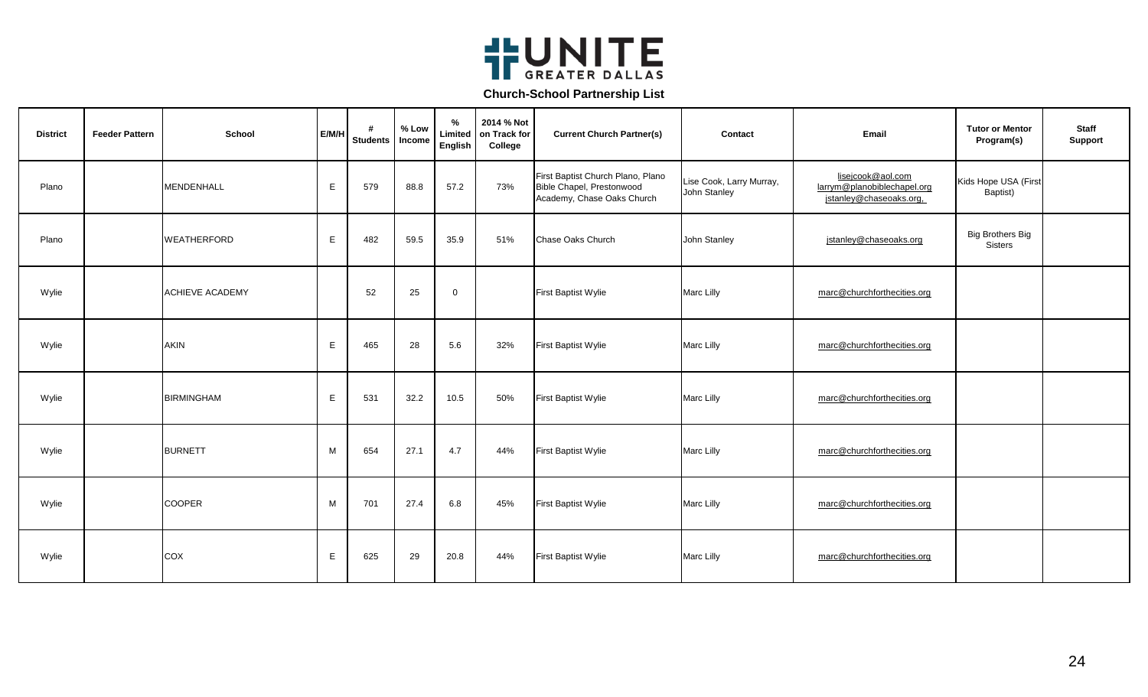

| <b>District</b> | <b>Feeder Pattern</b> | School                 | E/M/H | #<br><b>Students</b> | % Low<br>Income | %<br>Limited<br>English | 2014 % Not<br>on Track for<br>College | <b>Current Church Partner(s)</b>                                                             | Contact                                  | Email                                                                       | <b>Tutor or Mentor</b><br>Program(s) | <b>Staff</b><br>Support |
|-----------------|-----------------------|------------------------|-------|----------------------|-----------------|-------------------------|---------------------------------------|----------------------------------------------------------------------------------------------|------------------------------------------|-----------------------------------------------------------------------------|--------------------------------------|-------------------------|
| Plano           |                       | <b>MENDENHALL</b>      | E     | 579                  | 88.8            | 57.2                    | 73%                                   | First Baptist Church Plano, Plano<br>Bible Chapel, Prestonwood<br>Academy, Chase Oaks Church | Lise Cook, Larry Murray,<br>John Stanley | lisejcook@aol.com<br>larrym@planobiblechapel.org<br>jstanley@chaseoaks.org, | Kids Hope USA (First<br>Baptist)     |                         |
| Plano           |                       | <b>WEATHERFORD</b>     | E     | 482                  | 59.5            | 35.9                    | 51%                                   | Chase Oaks Church                                                                            | John Stanley                             | jstanley@chaseoaks.org                                                      | <b>Big Brothers Big</b><br>Sisters   |                         |
| Wylie           |                       | <b>ACHIEVE ACADEMY</b> |       | 52                   | 25              | $\mathbf 0$             |                                       | First Baptist Wylie                                                                          | Marc Lilly                               | marc@churchforthecities.org                                                 |                                      |                         |
| Wylie           |                       | <b>AKIN</b>            | E     | 465                  | 28              | 5.6                     | 32%                                   | First Baptist Wylie                                                                          | Marc Lilly                               | marc@churchforthecities.org                                                 |                                      |                         |
| Wylie           |                       | <b>BIRMINGHAM</b>      | E     | 531                  | 32.2            | 10.5                    | 50%                                   | First Baptist Wylie                                                                          | Marc Lilly                               | marc@churchforthecities.org                                                 |                                      |                         |
| Wylie           |                       | <b>BURNETT</b>         | M     | 654                  | 27.1            | 4.7                     | 44%                                   | <b>First Baptist Wylie</b>                                                                   | <b>Marc Lilly</b>                        | marc@churchforthecities.org                                                 |                                      |                         |
| Wylie           |                       | <b>COOPER</b>          | M     | 701                  | 27.4            | 6.8                     | 45%                                   | First Baptist Wylie                                                                          | <b>Marc Lilly</b>                        | marc@churchforthecities.org                                                 |                                      |                         |
| Wylie           |                       | COX                    | E     | 625                  | 29              | 20.8                    | 44%                                   | First Baptist Wylie                                                                          | Marc Lilly                               | marc@churchforthecities.org                                                 |                                      |                         |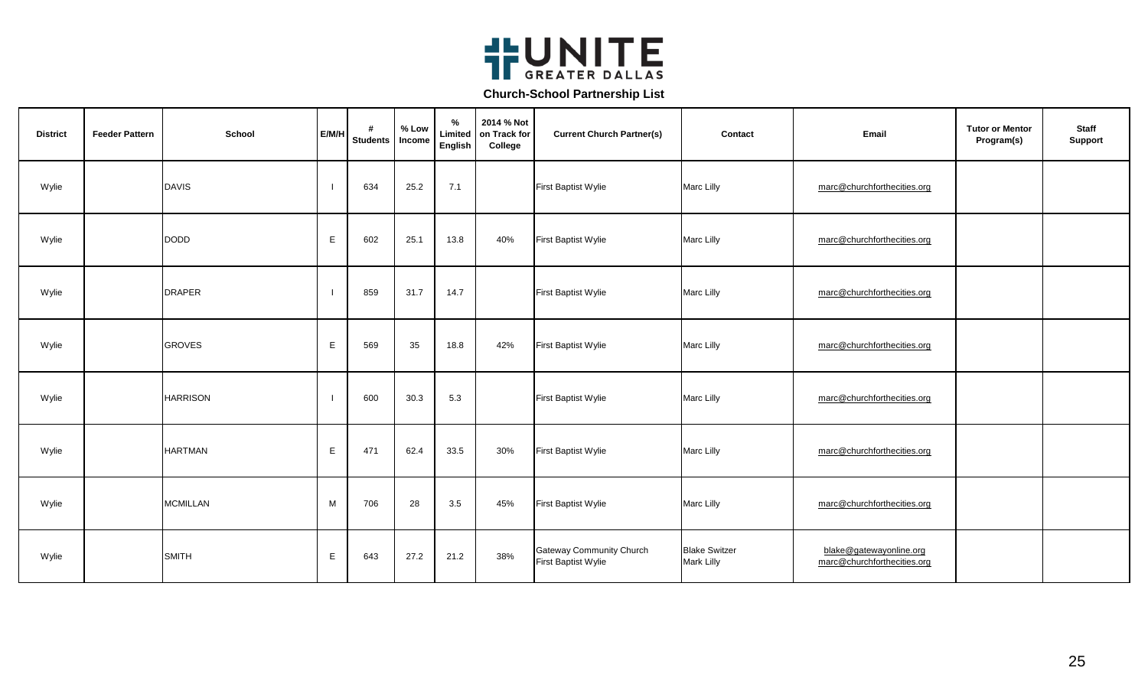

| <b>District</b> | <b>Feeder Pattern</b> | <b>School</b>   | E/M/H       | #<br><b>Students</b> | % Low<br>Income | $\%$<br>Limited<br>English | 2014 % Not<br>on Track for<br>College | <b>Current Church Partner(s)</b>                       | Contact                                   | Email                                                  | <b>Tutor or Mentor</b><br>Program(s) | <b>Staff</b><br><b>Support</b> |
|-----------------|-----------------------|-----------------|-------------|----------------------|-----------------|----------------------------|---------------------------------------|--------------------------------------------------------|-------------------------------------------|--------------------------------------------------------|--------------------------------------|--------------------------------|
| Wylie           |                       | <b>DAVIS</b>    |             | 634                  | 25.2            | 7.1                        |                                       | First Baptist Wylie                                    | Marc Lilly                                | marc@churchforthecities.org                            |                                      |                                |
| Wylie           |                       | <b>DODD</b>     | $\mathsf E$ | 602                  | 25.1            | 13.8                       | 40%                                   | First Baptist Wylie                                    | Marc Lilly                                | marc@churchforthecities.org                            |                                      |                                |
| Wylie           |                       | <b>DRAPER</b>   |             | 859                  | 31.7            | 14.7                       |                                       | First Baptist Wylie                                    | Marc Lilly                                | marc@churchforthecities.org                            |                                      |                                |
| Wylie           |                       | <b>GROVES</b>   | E           | 569                  | 35              | 18.8                       | 42%                                   | First Baptist Wylie                                    | Marc Lilly                                | marc@churchforthecities.org                            |                                      |                                |
| Wylie           |                       | <b>HARRISON</b> |             | 600                  | 30.3            | 5.3                        |                                       | First Baptist Wylie                                    | Marc Lilly                                | marc@churchforthecities.org                            |                                      |                                |
| Wylie           |                       | <b>HARTMAN</b>  | $\mathsf E$ | 471                  | 62.4            | 33.5                       | 30%                                   | First Baptist Wylie                                    | Marc Lilly                                | marc@churchforthecities.org                            |                                      |                                |
| Wylie           |                       | <b>MCMILLAN</b> | M           | 706                  | 28              | 3.5                        | 45%                                   | First Baptist Wylie                                    | Marc Lilly                                | marc@churchforthecities.org                            |                                      |                                |
| Wylie           |                       | <b>SMITH</b>    | E           | 643                  | 27.2            | 21.2                       | 38%                                   | <b>Gateway Community Church</b><br>First Baptist Wylie | <b>Blake Switzer</b><br><b>Mark Lilly</b> | blake@gatewayonline.org<br>marc@churchforthecities.org |                                      |                                |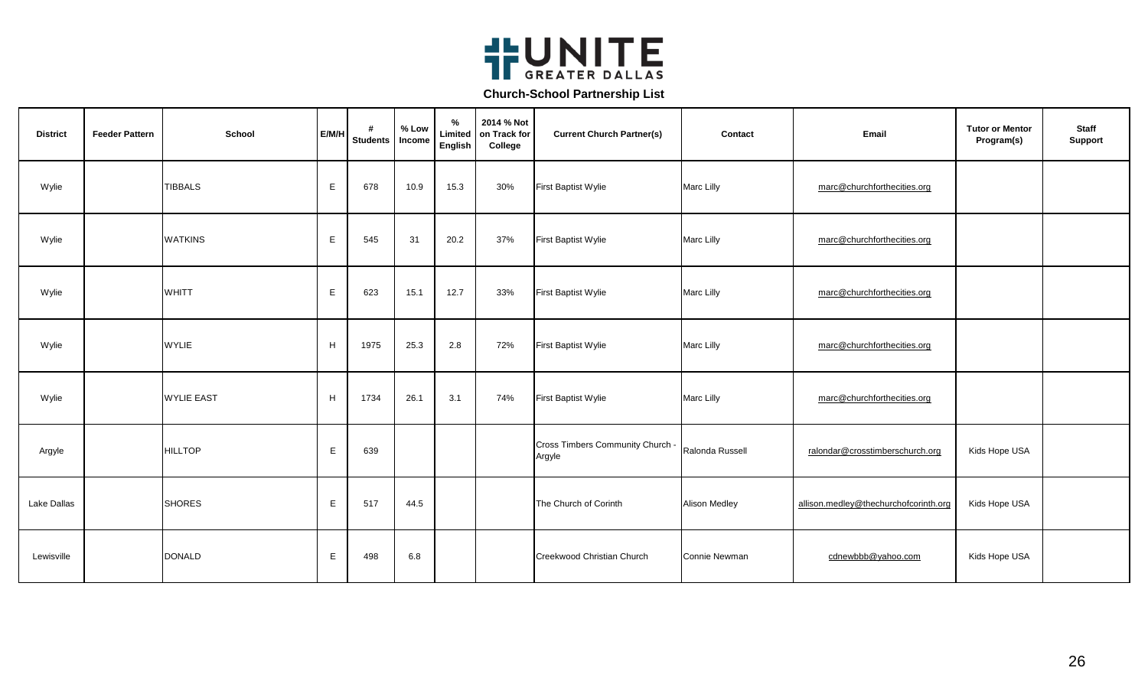

| <b>District</b> | <b>Feeder Pattern</b> | School            | E/M/H       | #<br>Students | % Low<br>Income | %<br>Limited<br>English | 2014 % Not<br>on Track for<br>College | <b>Current Church Partner(s)</b>           | Contact              | Email                                 | <b>Tutor or Mentor</b><br>Program(s) | <b>Staff</b><br><b>Support</b> |
|-----------------|-----------------------|-------------------|-------------|---------------|-----------------|-------------------------|---------------------------------------|--------------------------------------------|----------------------|---------------------------------------|--------------------------------------|--------------------------------|
| Wylie           |                       | <b>TIBBALS</b>    | $\mathsf E$ | 678           | 10.9            | 15.3                    | 30%                                   | First Baptist Wylie                        | Marc Lilly           | marc@churchforthecities.org           |                                      |                                |
| Wylie           |                       | <b>WATKINS</b>    | E           | 545           | 31              | 20.2                    | 37%                                   | First Baptist Wylie                        | Marc Lilly           | marc@churchforthecities.org           |                                      |                                |
| Wylie           |                       | WHITT             | E           | 623           | 15.1            | 12.7                    | 33%                                   | First Baptist Wylie                        | Marc Lilly           | marc@churchforthecities.org           |                                      |                                |
| Wylie           |                       | <b>WYLIE</b>      | H           | 1975          | 25.3            | 2.8                     | 72%                                   | First Baptist Wylie                        | Marc Lilly           | marc@churchforthecities.org           |                                      |                                |
| Wylie           |                       | <b>WYLIE EAST</b> | H           | 1734          | 26.1            | 3.1                     | 74%                                   | First Baptist Wylie                        | Marc Lilly           | marc@churchforthecities.org           |                                      |                                |
| Argyle          |                       | <b>HILLTOP</b>    | E           | 639           |                 |                         |                                       | Cross Timbers Community Church -<br>Argyle | Ralonda Russell      | ralondar@crosstimberschurch.org       | Kids Hope USA                        |                                |
| Lake Dallas     |                       | <b>SHORES</b>     | E.          | 517           | 44.5            |                         |                                       | The Church of Corinth                      | Alison Medley        | allison.medley@thechurchofcorinth.org | Kids Hope USA                        |                                |
| Lewisville      |                       | <b>DONALD</b>     | Е           | 498           | 6.8             |                         |                                       | Creekwood Christian Church                 | <b>Connie Newman</b> | cdnewbbb@yahoo.com                    | Kids Hope USA                        |                                |